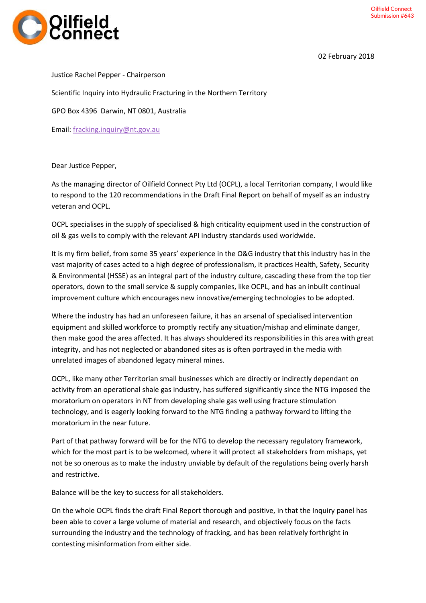

Justice Rachel Pepper - Chairperson

Scientific Inquiry into Hydraulic Fracturing in the Northern Territory

GPO Box 4396 Darwin, NT 0801, Australia

Email: [fracking.inquiry@nt.gov.au](mailto:fracking.inquiry@nt.gov.au)

Dear Justice Pepper,

As the managing director of Oilfield Connect Pty Ltd (OCPL), a local Territorian company, I would like to respond to the 120 recommendations in the Draft Final Report on behalf of myself as an industry veteran and OCPL.

OCPL specialises in the supply of specialised & high criticality equipment used in the construction of oil & gas wells to comply with the relevant API industry standards used worldwide.

It is my firm belief, from some 35 years' experience in the O&G industry that this industry has in the vast majority of cases acted to a high degree of professionalism, it practices Health, Safety, Security & Environmental (HSSE) as an integral part of the industry culture, cascading these from the top tier operators, down to the small service & supply companies, like OCPL, and has an inbuilt continual improvement culture which encourages new innovative/emerging technologies to be adopted.

Where the industry has had an unforeseen failure, it has an arsenal of specialised intervention equipment and skilled workforce to promptly rectify any situation/mishap and eliminate danger, then make good the area affected. It has always shouldered its responsibilities in this area with great integrity, and has not neglected or abandoned sites as is often portrayed in the media with unrelated images of abandoned legacy mineral mines.

OCPL, like many other Territorian small businesses which are directly or indirectly dependant on activity from an operational shale gas industry, has suffered significantly since the NTG imposed the moratorium on operators in NT from developing shale gas well using fracture stimulation technology, and is eagerly looking forward to the NTG finding a pathway forward to lifting the moratorium in the near future.

Part of that pathway forward will be for the NTG to develop the necessary regulatory framework, which for the most part is to be welcomed, where it will protect all stakeholders from mishaps, yet not be so onerous as to make the industry unviable by default of the regulations being overly harsh and restrictive.

Balance will be the key to success for all stakeholders.

On the whole OCPL finds the draft Final Report thorough and positive, in that the Inquiry panel has been able to cover a large volume of material and research, and objectively focus on the facts surrounding the industry and the technology of fracking, and has been relatively forthright in contesting misinformation from either side.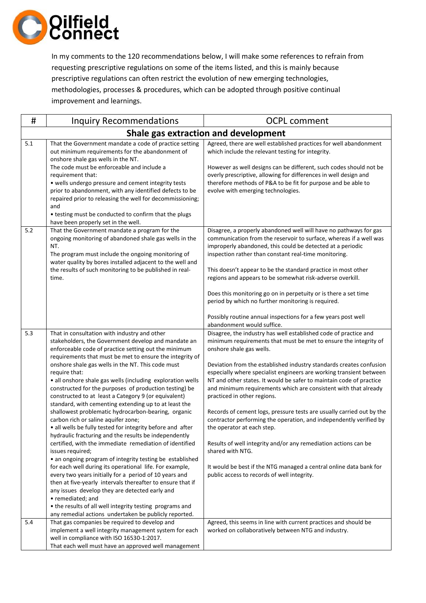

In my comments to the 120 recommendations below, I will make some references to refrain from requesting prescriptive regulations on some of the items listed, and this is mainly because prescriptive regulations can often restrict the evolution of new emerging technologies, methodologies, processes & procedures, which can be adopted through positive continual improvement and learnings.

| #   | <b>Inquiry Recommendations</b>                                                                                                                                                                                                                                                                                                                                                                                                                                                                                                                                                                                                                                                                                                                                                                                                                                                                                                                                                                                                                                                                                                                                                                                                                                                        | <b>OCPL comment</b>                                                                                                                                                                                                                                                                                                                                                                                                                                                                                                                                                                                                                                                                                                                                                                                                                                                              |  |  |
|-----|---------------------------------------------------------------------------------------------------------------------------------------------------------------------------------------------------------------------------------------------------------------------------------------------------------------------------------------------------------------------------------------------------------------------------------------------------------------------------------------------------------------------------------------------------------------------------------------------------------------------------------------------------------------------------------------------------------------------------------------------------------------------------------------------------------------------------------------------------------------------------------------------------------------------------------------------------------------------------------------------------------------------------------------------------------------------------------------------------------------------------------------------------------------------------------------------------------------------------------------------------------------------------------------|----------------------------------------------------------------------------------------------------------------------------------------------------------------------------------------------------------------------------------------------------------------------------------------------------------------------------------------------------------------------------------------------------------------------------------------------------------------------------------------------------------------------------------------------------------------------------------------------------------------------------------------------------------------------------------------------------------------------------------------------------------------------------------------------------------------------------------------------------------------------------------|--|--|
|     | Shale gas extraction and development                                                                                                                                                                                                                                                                                                                                                                                                                                                                                                                                                                                                                                                                                                                                                                                                                                                                                                                                                                                                                                                                                                                                                                                                                                                  |                                                                                                                                                                                                                                                                                                                                                                                                                                                                                                                                                                                                                                                                                                                                                                                                                                                                                  |  |  |
| 5.1 | That the Government mandate a code of practice setting<br>out minimum requirements for the abandonment of<br>onshore shale gas wells in the NT.<br>The code must be enforceable and include a<br>requirement that:<br>• wells undergo pressure and cement integrity tests<br>prior to abandonment, with any identified defects to be<br>repaired prior to releasing the well for decommissioning;<br>and<br>• testing must be conducted to confirm that the plugs<br>have been properly set in the well.                                                                                                                                                                                                                                                                                                                                                                                                                                                                                                                                                                                                                                                                                                                                                                              | Agreed, there are well established practices for well abandonment<br>which include the relevant testing for integrity.<br>However as well designs can be different, such codes should not be<br>overly prescriptive, allowing for differences in well design and<br>therefore methods of P&A to be fit for purpose and be able to<br>evolve with emerging technologies.                                                                                                                                                                                                                                                                                                                                                                                                                                                                                                          |  |  |
| 5.2 | That the Government mandate a program for the<br>ongoing monitoring of abandoned shale gas wells in the<br>NT.<br>The program must include the ongoing monitoring of<br>water quality by bores installed adjacent to the well and<br>the results of such monitoring to be published in real-<br>time.                                                                                                                                                                                                                                                                                                                                                                                                                                                                                                                                                                                                                                                                                                                                                                                                                                                                                                                                                                                 | Disagree, a properly abandoned well will have no pathways for gas<br>communication from the reservoir to surface, whereas if a well was<br>improperly abandoned, this could be detected at a periodic<br>inspection rather than constant real-time monitoring.<br>This doesn't appear to be the standard practice in most other<br>regions and appears to be somewhat risk-adverse overkill.<br>Does this monitoring go on in perpetuity or is there a set time<br>period by which no further monitoring is required.<br>Possibly routine annual inspections for a few years post well<br>abandonment would suffice.                                                                                                                                                                                                                                                             |  |  |
| 5.3 | That in consultation with industry and other<br>stakeholders, the Government develop and mandate an<br>enforceable code of practice setting out the minimum<br>requirements that must be met to ensure the integrity of<br>onshore shale gas wells in the NT. This code must<br>require that:<br>· all onshore shale gas wells (including exploration wells<br>constructed for the purposes of production testing) be<br>constructed to at least a Category 9 (or equivalent)<br>standard, with cementing extending up to at least the<br>shallowest problematic hydrocarbon-bearing, organic<br>carbon rich or saline aquifer zone;<br>• all wells be fully tested for integrity before and after<br>hydraulic fracturing and the results be independently<br>certified, with the immediate remediation of identified<br>issues required;<br>• an ongoing program of integrity testing be established<br>for each well during its operational life. For example,<br>every two years initially for a period of 10 years and<br>then at five-yearly intervals thereafter to ensure that if<br>any issues develop they are detected early and<br>• remediated; and<br>• the results of all well integrity testing programs and<br>any remedial actions undertaken be publicly reported. | Disagree, the industry has well established code of practice and<br>minimum requirements that must be met to ensure the integrity of<br>onshore shale gas wells.<br>Deviation from the established industry standards creates confusion<br>especially where specialist engineers are working transient between<br>NT and other states. It would be safer to maintain code of practice<br>and minimum requirements which are consistent with that already<br>practiced in other regions.<br>Records of cement logs, pressure tests are usually carried out by the<br>contractor performing the operation, and independently verified by<br>the operator at each step.<br>Results of well integrity and/or any remediation actions can be<br>shared with NTG.<br>It would be best if the NTG managed a central online data bank for<br>public access to records of well integrity. |  |  |
| 5.4 | That gas companies be required to develop and<br>implement a well integrity management system for each<br>well in compliance with ISO 16530-1:2017.<br>That each well must have an approved well management                                                                                                                                                                                                                                                                                                                                                                                                                                                                                                                                                                                                                                                                                                                                                                                                                                                                                                                                                                                                                                                                           | Agreed, this seems in line with current practices and should be<br>worked on collaboratively between NTG and industry.                                                                                                                                                                                                                                                                                                                                                                                                                                                                                                                                                                                                                                                                                                                                                           |  |  |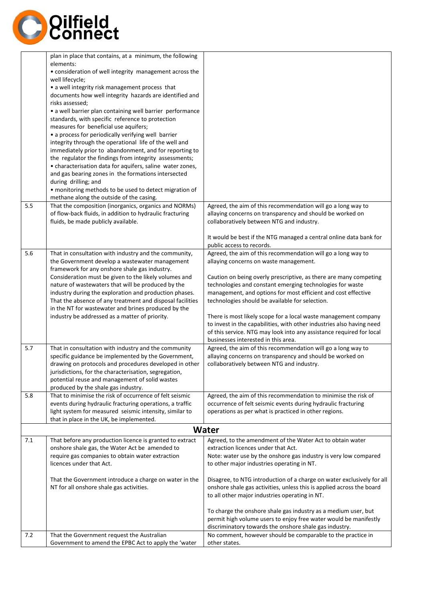

| 5.5 | plan in place that contains, at a minimum, the following<br>elements:<br>• consideration of well integrity management across the<br>well lifecycle;<br>• a well integrity risk management process that<br>documents how well integrity hazards are identified and<br>risks assessed;<br>• a well barrier plan containing well barrier performance<br>standards, with specific reference to protection<br>measures for beneficial use aquifers;<br>• a process for periodically verifying well barrier<br>integrity through the operational life of the well and<br>immediately prior to abandonment, and for reporting to<br>the regulator the findings from integrity assessments;<br>• characterisation data for aquifers, saline water zones,<br>and gas bearing zones in the formations intersected<br>during drilling; and<br>· monitoring methods to be used to detect migration of<br>methane along the outside of the casing.<br>That the composition (inorganics, organics and NORMs)<br>of flow-back fluids, in addition to hydraulic fracturing<br>fluids, be made publicly available. | Agreed, the aim of this recommendation will go a long way to<br>allaying concerns on transparency and should be worked on<br>collaboratively between NTG and industry.                                                                                                                                                                                                                                                                                                                                                                                                                                                  |
|-----|---------------------------------------------------------------------------------------------------------------------------------------------------------------------------------------------------------------------------------------------------------------------------------------------------------------------------------------------------------------------------------------------------------------------------------------------------------------------------------------------------------------------------------------------------------------------------------------------------------------------------------------------------------------------------------------------------------------------------------------------------------------------------------------------------------------------------------------------------------------------------------------------------------------------------------------------------------------------------------------------------------------------------------------------------------------------------------------------------|-------------------------------------------------------------------------------------------------------------------------------------------------------------------------------------------------------------------------------------------------------------------------------------------------------------------------------------------------------------------------------------------------------------------------------------------------------------------------------------------------------------------------------------------------------------------------------------------------------------------------|
|     |                                                                                                                                                                                                                                                                                                                                                                                                                                                                                                                                                                                                                                                                                                                                                                                                                                                                                                                                                                                                                                                                                                   | It would be best if the NTG managed a central online data bank for<br>public access to records.                                                                                                                                                                                                                                                                                                                                                                                                                                                                                                                         |
| 5.6 | That in consultation with industry and the community,<br>the Government develop a wastewater management<br>framework for any onshore shale gas industry.<br>Consideration must be given to the likely volumes and<br>nature of wastewaters that will be produced by the<br>industry during the exploration and production phases.<br>That the absence of any treatment and disposal facilities<br>in the NT for wastewater and brines produced by the<br>industry be addressed as a matter of priority.                                                                                                                                                                                                                                                                                                                                                                                                                                                                                                                                                                                           | Agreed, the aim of this recommendation will go a long way to<br>allaying concerns on waste management.<br>Caution on being overly prescriptive, as there are many competing<br>technologies and constant emerging technologies for waste<br>management, and options for most efficient and cost effective<br>technologies should be available for selection.<br>There is most likely scope for a local waste management company<br>to invest in the capabilities, with other industries also having need<br>of this service. NTG may look into any assistance required for local<br>businesses interested in this area. |
| 5.7 | That in consultation with industry and the community<br>specific guidance be implemented by the Government,<br>drawing on protocols and procedures developed in other<br>jurisdictions, for the characterisation, segregation,<br>potential reuse and management of solid wastes<br>produced by the shale gas industry.                                                                                                                                                                                                                                                                                                                                                                                                                                                                                                                                                                                                                                                                                                                                                                           | Agreed, the aim of this recommendation will go a long way to<br>allaying concerns on transparency and should be worked on<br>collaboratively between NTG and industry.                                                                                                                                                                                                                                                                                                                                                                                                                                                  |
| 5.8 | That to minimise the risk of occurrence of felt seismic<br>events during hydraulic fracturing operations, a traffic<br>light system for measured seismic intensity, similar to<br>that in place in the UK, be implemented.                                                                                                                                                                                                                                                                                                                                                                                                                                                                                                                                                                                                                                                                                                                                                                                                                                                                        | Agreed, the aim of this recommendation to minimise the risk of<br>occurrence of felt seismic events during hydraulic fracturing<br>operations as per what is practiced in other regions.                                                                                                                                                                                                                                                                                                                                                                                                                                |
|     |                                                                                                                                                                                                                                                                                                                                                                                                                                                                                                                                                                                                                                                                                                                                                                                                                                                                                                                                                                                                                                                                                                   | Water                                                                                                                                                                                                                                                                                                                                                                                                                                                                                                                                                                                                                   |
| 7.1 | That before any production licence is granted to extract<br>onshore shale gas, the Water Act be amended to<br>require gas companies to obtain water extraction<br>licences under that Act.<br>That the Government introduce a charge on water in the                                                                                                                                                                                                                                                                                                                                                                                                                                                                                                                                                                                                                                                                                                                                                                                                                                              | Agreed, to the amendment of the Water Act to obtain water<br>extraction licences under that Act.<br>Note: water use by the onshore gas industry is very low compared<br>to other major industries operating in NT.<br>Disagree, to NTG introduction of a charge on water exclusively for all                                                                                                                                                                                                                                                                                                                            |
| 7.2 | NT for all onshore shale gas activities.<br>That the Government request the Australian                                                                                                                                                                                                                                                                                                                                                                                                                                                                                                                                                                                                                                                                                                                                                                                                                                                                                                                                                                                                            | onshore shale gas activities, unless this is applied across the board<br>to all other major industries operating in NT.<br>To charge the onshore shale gas industry as a medium user, but<br>permit high volume users to enjoy free water would be manifestly<br>discriminatory towards the onshore shale gas industry.<br>No comment, however should be comparable to the practice in                                                                                                                                                                                                                                  |
|     | Government to amend the EPBC Act to apply the 'water                                                                                                                                                                                                                                                                                                                                                                                                                                                                                                                                                                                                                                                                                                                                                                                                                                                                                                                                                                                                                                              | other states.                                                                                                                                                                                                                                                                                                                                                                                                                                                                                                                                                                                                           |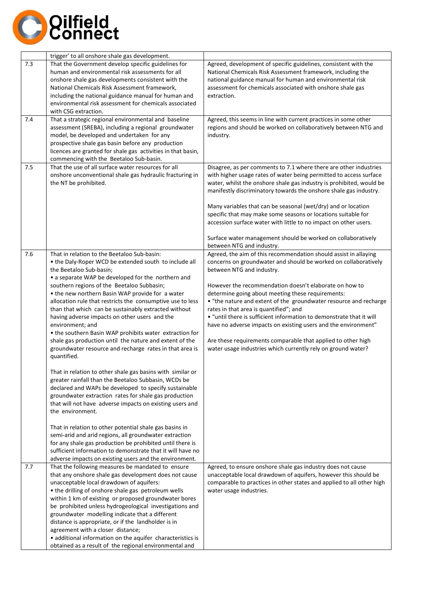

|     | trigger' to all onshore shale gas development.                                                                                                                                                                                                                                                                                                                                                                                                                                                                                                                                                                                                                                                                                                                                                                                                                                                                                                                      |                                                                                                                                                                                                                                                                                                                                                                                                                                                                                                                                                                                                                                                                                                       |
|-----|---------------------------------------------------------------------------------------------------------------------------------------------------------------------------------------------------------------------------------------------------------------------------------------------------------------------------------------------------------------------------------------------------------------------------------------------------------------------------------------------------------------------------------------------------------------------------------------------------------------------------------------------------------------------------------------------------------------------------------------------------------------------------------------------------------------------------------------------------------------------------------------------------------------------------------------------------------------------|-------------------------------------------------------------------------------------------------------------------------------------------------------------------------------------------------------------------------------------------------------------------------------------------------------------------------------------------------------------------------------------------------------------------------------------------------------------------------------------------------------------------------------------------------------------------------------------------------------------------------------------------------------------------------------------------------------|
| 7.3 | That the Government develop specific guidelines for<br>human and environmental risk assessments for all<br>onshore shale gas developments consistent with the<br>National Chemicals Risk Assessment framework,<br>including the national guidance manual for human and<br>environmental risk assessment for chemicals associated<br>with CSG extraction.                                                                                                                                                                                                                                                                                                                                                                                                                                                                                                                                                                                                            | Agreed, development of specific guidelines, consistent with the<br>National Chemicals Risk Assessment framework, including the<br>national guidance manual for human and environmental risk<br>assessment for chemicals associated with onshore shale gas<br>extraction.                                                                                                                                                                                                                                                                                                                                                                                                                              |
| 7.4 | That a strategic regional environmental and baseline<br>assessment (SREBA), including a regional groundwater<br>model, be developed and undertaken for any<br>prospective shale gas basin before any production<br>licences are granted for shale gas activities in that basin,<br>commencing with the Beetaloo Sub-basin.                                                                                                                                                                                                                                                                                                                                                                                                                                                                                                                                                                                                                                          | Agreed, this seems in line with current practices in some other<br>regions and should be worked on collaboratively between NTG and<br>industry.                                                                                                                                                                                                                                                                                                                                                                                                                                                                                                                                                       |
| 7.5 | That the use of all surface water resources for all<br>onshore unconventional shale gas hydraulic fracturing in<br>the NT be prohibited.                                                                                                                                                                                                                                                                                                                                                                                                                                                                                                                                                                                                                                                                                                                                                                                                                            | Disagree, as per comments to 7.1 where there are other industries<br>with higher usage rates of water being permitted to access surface<br>water, whilst the onshore shale gas industry is prohibited, would be<br>manifestly discriminatory towards the onshore shale gas industry.<br>Many variables that can be seasonal (wet/dry) and or location<br>specific that may make some seasons or locations suitable for<br>accession surface water with little to no impact on other users.<br>Surface water management should be worked on collaboratively                                                                                                                                            |
| 7.6 | That in relation to the Beetaloo Sub-basin:<br>• the Daly-Roper WCD be extended south to include all<br>the Beetaloo Sub-basin;<br>• a separate WAP be developed for the northern and<br>southern regions of the Beetaloo Subbasin;<br>• the new northern Basin WAP provide for a water<br>allocation rule that restricts the consumptive use to less<br>than that which can be sustainably extracted without<br>having adverse impacts on other users and the<br>environment; and<br>• the southern Basin WAP prohibits water extraction for<br>shale gas production until the nature and extent of the<br>groundwater resource and recharge rates in that area is<br>quantified.                                                                                                                                                                                                                                                                                  | between NTG and industry.<br>Agreed, the aim of this recommendation should assist in allaying<br>concerns on groundwater and should be worked on collaboratively<br>between NTG and industry.<br>However the recommendation doesn't elaborate on how to<br>determine going about meeting these requirements:<br>• "the nature and extent of the groundwater resource and recharge<br>rates in that area is quantified"; and<br>• "until there is sufficient information to demonstrate that it will<br>have no adverse impacts on existing users and the environment"<br>Are these requirements comparable that applied to other high<br>water usage industries which currently rely on ground water? |
| 7.7 | That in relation to other shale gas basins with similar or<br>greater rainfall than the Beetaloo Subbasin, WCDs be<br>declared and WAPs be developed to specify sustainable<br>groundwater extraction rates for shale gas production<br>that will not have adverse impacts on existing users and<br>the environment.<br>That in relation to other potential shale gas basins in<br>semi-arid and arid regions, all groundwater extraction<br>for any shale gas production be prohibited until there is<br>sufficient information to demonstrate that it will have no<br>adverse impacts on existing users and the environment.<br>That the following measures be mandated to ensure<br>that any onshore shale gas development does not cause<br>unacceptable local drawdown of aquifers:<br>• the drilling of onshore shale gas petroleum wells<br>within 1 km of existing or proposed groundwater bores<br>be prohibited unless hydrogeological investigations and | Agreed, to ensure onshore shale gas industry does not cause<br>unacceptable local drawdown of aquifers, however this should be<br>comparable to practices in other states and applied to all other high<br>water usage industries.                                                                                                                                                                                                                                                                                                                                                                                                                                                                    |
|     | groundwater modelling indicate that a different<br>distance is appropriate, or if the landholder is in<br>agreement with a closer distance;<br>• additional information on the aquifer characteristics is<br>obtained as a result of the regional environmental and                                                                                                                                                                                                                                                                                                                                                                                                                                                                                                                                                                                                                                                                                                 |                                                                                                                                                                                                                                                                                                                                                                                                                                                                                                                                                                                                                                                                                                       |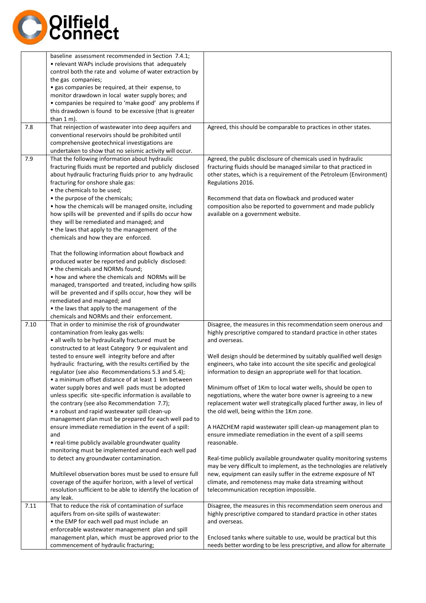

| this drawdown is found to be excessive (that is greater<br>than $1 \text{ m}$ ).<br>7.8<br>That reinjection of wastewater into deep aquifers and<br>Agreed, this should be comparable to practices in other states.<br>conventional reservoirs should be prohibited until<br>comprehensive geotechnical investigations are<br>undertaken to show that no seismic activity will occur.<br>7.9<br>That the following information about hydraulic<br>Agreed, the public disclosure of chemicals used in hydraulic<br>fracturing fluids must be reported and publicly disclosed<br>fracturing fluids should be managed similar to that practiced in<br>about hydraulic fracturing fluids prior to any hydraulic<br>fracturing for onshore shale gas:<br>Regulations 2016.<br>• the chemicals to be used;<br>• the purpose of the chemicals;<br>Recommend that data on flowback and produced water<br>• how the chemicals will be managed onsite, including<br>how spills will be prevented and if spills do occur how<br>available on a government website.<br>they will be remediated and managed; and<br>• the laws that apply to the management of the<br>chemicals and how they are enforced.<br>That the following information about flowback and<br>produced water be reported and publicly disclosed:<br>• the chemicals and NORMs found;<br>• how and where the chemicals and NORMs will be<br>managed, transported and treated, including how spills<br>will be prevented and if spills occur, how they will be                                                                                                                                                                                                                                                                 | baseline assessment recommended in Section 7.4.1;<br>• relevant WAPs include provisions that adequately<br>control both the rate and volume of water extraction by<br>· gas companies be required, at their expense, to<br>monitor drawdown in local water supply bores; and<br>• companies be required to 'make good' any problems if                                                                                                                                                                                                                                                                                                    |
|--------------------------------------------------------------------------------------------------------------------------------------------------------------------------------------------------------------------------------------------------------------------------------------------------------------------------------------------------------------------------------------------------------------------------------------------------------------------------------------------------------------------------------------------------------------------------------------------------------------------------------------------------------------------------------------------------------------------------------------------------------------------------------------------------------------------------------------------------------------------------------------------------------------------------------------------------------------------------------------------------------------------------------------------------------------------------------------------------------------------------------------------------------------------------------------------------------------------------------------------------------------------------------------------------------------------------------------------------------------------------------------------------------------------------------------------------------------------------------------------------------------------------------------------------------------------------------------------------------------------------------------------------------------------------------------------------------------------------------------------------------------------------------------|-------------------------------------------------------------------------------------------------------------------------------------------------------------------------------------------------------------------------------------------------------------------------------------------------------------------------------------------------------------------------------------------------------------------------------------------------------------------------------------------------------------------------------------------------------------------------------------------------------------------------------------------|
|                                                                                                                                                                                                                                                                                                                                                                                                                                                                                                                                                                                                                                                                                                                                                                                                                                                                                                                                                                                                                                                                                                                                                                                                                                                                                                                                                                                                                                                                                                                                                                                                                                                                                                                                                                                      |                                                                                                                                                                                                                                                                                                                                                                                                                                                                                                                                                                                                                                           |
|                                                                                                                                                                                                                                                                                                                                                                                                                                                                                                                                                                                                                                                                                                                                                                                                                                                                                                                                                                                                                                                                                                                                                                                                                                                                                                                                                                                                                                                                                                                                                                                                                                                                                                                                                                                      |                                                                                                                                                                                                                                                                                                                                                                                                                                                                                                                                                                                                                                           |
|                                                                                                                                                                                                                                                                                                                                                                                                                                                                                                                                                                                                                                                                                                                                                                                                                                                                                                                                                                                                                                                                                                                                                                                                                                                                                                                                                                                                                                                                                                                                                                                                                                                                                                                                                                                      | other states, which is a requirement of the Petroleum (Environment)<br>composition also be reported to government and made publicly                                                                                                                                                                                                                                                                                                                                                                                                                                                                                                       |
| remediated and managed; and<br>• the laws that apply to the management of the                                                                                                                                                                                                                                                                                                                                                                                                                                                                                                                                                                                                                                                                                                                                                                                                                                                                                                                                                                                                                                                                                                                                                                                                                                                                                                                                                                                                                                                                                                                                                                                                                                                                                                        |                                                                                                                                                                                                                                                                                                                                                                                                                                                                                                                                                                                                                                           |
| chemicals and NORMs and their enforcement.<br>7.10<br>That in order to minimise the risk of groundwater<br>contamination from leaky gas wells:<br>· all wells to be hydraulically fractured must be<br>and overseas.<br>constructed to at least Category 9 or equivalent and<br>tested to ensure well integrity before and after<br>hydraulic fracturing, with the results certified by the<br>regulator (see also Recommendations 5.3 and 5.4);<br>information to design an appropriate well for that location.<br>• a minimum offset distance of at least 1 km between<br>water supply bores and well pads must be adopted<br>Minimum offset of 1Km to local water wells, should be open to<br>unless specific site-specific information is available to<br>negotiations, where the water bore owner is agreeing to a new<br>the contrary (see also Recommendation 7.7);<br>the old well, being within the 1Km zone.<br>• a robust and rapid wastewater spill clean-up<br>management plan must be prepared for each well pad to<br>ensure immediate remediation in the event of a spill:<br>ensure immediate remediation in the event of a spill seems<br>and<br>• real-time publicly available groundwater quality<br>reasonable.<br>monitoring must be implemented around each well pad<br>to detect any groundwater contamination.<br>Multilevel observation bores must be used to ensure full<br>coverage of the aquifer horizon, with a level of vertical<br>climate, and remoteness may make data streaming without<br>resolution sufficient to be able to identify the location of<br>telecommunication reception impossible.<br>any leak.<br>That to reduce the risk of contamination of surface<br>Disagree, the measures in this recommendation seem onerous and<br>7.11 | Disagree, the measures in this recommendation seem onerous and<br>highly prescriptive compared to standard practice in other states<br>Well design should be determined by suitably qualified well design<br>engineers, who take into account the site specific and geological<br>replacement water well strategically placed further away, in lieu of<br>A HAZCHEM rapid wastewater spill clean-up management plan to<br>Real-time publicly available groundwater quality monitoring systems<br>may be very difficult to implement, as the technologies are relatively<br>new, equipment can easily suffer in the extreme exposure of NT |
| aquifers from on-site spills of wastewater:<br>highly prescriptive compared to standard practice in other states<br>• the EMP for each well pad must include an<br>and overseas.<br>enforceable wastewater management plan and spill<br>management plan, which must be approved prior to the<br>Enclosed tanks where suitable to use, would be practical but this<br>commencement of hydraulic fracturing;<br>needs better wording to be less prescriptive, and allow for alternate                                                                                                                                                                                                                                                                                                                                                                                                                                                                                                                                                                                                                                                                                                                                                                                                                                                                                                                                                                                                                                                                                                                                                                                                                                                                                                  |                                                                                                                                                                                                                                                                                                                                                                                                                                                                                                                                                                                                                                           |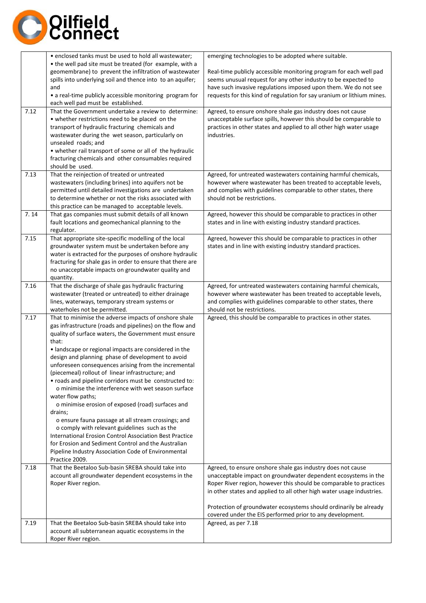

| 7.12<br>7.13 | • enclosed tanks must be used to hold all wastewater;<br>• the well pad site must be treated (for example, with a<br>geomembrane) to prevent the infiltration of wastewater<br>spills into underlying soil and thence into to an aquifer;<br>and<br>• a real-time publicly accessible monitoring program for<br>each well pad must be established.<br>That the Government undertake a review to determine:<br>• whether restrictions need to be placed on the<br>transport of hydraulic fracturing chemicals and<br>wastewater during the wet season, particularly on<br>unsealed roads; and<br>• whether rail transport of some or all of the hydraulic<br>fracturing chemicals and other consumables required<br>should be used.<br>That the reinjection of treated or untreated                                                                                                                                                                                                                                                                          | emerging technologies to be adopted where suitable.<br>Real-time publicly accessible monitoring program for each well pad<br>seems unusual request for any other industry to be expected to<br>have such invasive regulations imposed upon them. We do not see<br>requests for this kind of regulation for say uranium or lithium mines.<br>Agreed, to ensure onshore shale gas industry does not cause<br>unacceptable surface spills, however this should be comparable to<br>practices in other states and applied to all other high water usage<br>industries.<br>Agreed, for untreated wastewaters containing harmful chemicals, |
|--------------|-------------------------------------------------------------------------------------------------------------------------------------------------------------------------------------------------------------------------------------------------------------------------------------------------------------------------------------------------------------------------------------------------------------------------------------------------------------------------------------------------------------------------------------------------------------------------------------------------------------------------------------------------------------------------------------------------------------------------------------------------------------------------------------------------------------------------------------------------------------------------------------------------------------------------------------------------------------------------------------------------------------------------------------------------------------|---------------------------------------------------------------------------------------------------------------------------------------------------------------------------------------------------------------------------------------------------------------------------------------------------------------------------------------------------------------------------------------------------------------------------------------------------------------------------------------------------------------------------------------------------------------------------------------------------------------------------------------|
|              | wastewaters (including brines) into aquifers not be<br>permitted until detailed investigations are undertaken<br>to determine whether or not the risks associated with<br>this practice can be managed to acceptable levels.                                                                                                                                                                                                                                                                                                                                                                                                                                                                                                                                                                                                                                                                                                                                                                                                                                | however where wastewater has been treated to acceptable levels,<br>and complies with guidelines comparable to other states, there<br>should not be restrictions.                                                                                                                                                                                                                                                                                                                                                                                                                                                                      |
| 7.14         | That gas companies must submit details of all known<br>fault locations and geomechanical planning to the<br>regulator.                                                                                                                                                                                                                                                                                                                                                                                                                                                                                                                                                                                                                                                                                                                                                                                                                                                                                                                                      | Agreed, however this should be comparable to practices in other<br>states and in line with existing industry standard practices.                                                                                                                                                                                                                                                                                                                                                                                                                                                                                                      |
| 7.15         | That appropriate site-specific modelling of the local<br>groundwater system must be undertaken before any<br>water is extracted for the purposes of onshore hydraulic<br>fracturing for shale gas in order to ensure that there are<br>no unacceptable impacts on groundwater quality and<br>quantity.                                                                                                                                                                                                                                                                                                                                                                                                                                                                                                                                                                                                                                                                                                                                                      | Agreed, however this should be comparable to practices in other<br>states and in line with existing industry standard practices.                                                                                                                                                                                                                                                                                                                                                                                                                                                                                                      |
| 7.16         | That the discharge of shale gas hydraulic fracturing<br>wastewater (treated or untreated) to either drainage<br>lines, waterways, temporary stream systems or<br>waterholes not be permitted.                                                                                                                                                                                                                                                                                                                                                                                                                                                                                                                                                                                                                                                                                                                                                                                                                                                               | Agreed, for untreated wastewaters containing harmful chemicals,<br>however where wastewater has been treated to acceptable levels,<br>and complies with guidelines comparable to other states, there<br>should not be restrictions.                                                                                                                                                                                                                                                                                                                                                                                                   |
| 7.17<br>7.18 | That to minimise the adverse impacts of onshore shale<br>gas infrastructure (roads and pipelines) on the flow and<br>quality of surface waters, the Government must ensure<br>that:<br>· landscape or regional impacts are considered in the<br>design and planning phase of development to avoid<br>unforeseen consequences arising from the incremental<br>(piecemeal) rollout of linear infrastructure; and<br>• roads and pipeline corridors must be constructed to:<br>o minimise the interference with wet season surface<br>water flow paths;<br>o minimise erosion of exposed (road) surfaces and<br>drains;<br>o ensure fauna passage at all stream crossings; and<br>o comply with relevant guidelines such as the<br>International Erosion Control Association Best Practice<br>for Erosion and Sediment Control and the Australian<br>Pipeline Industry Association Code of Environmental<br>Practice 2009.<br>That the Beetaloo Sub-basin SREBA should take into<br>account all groundwater dependent ecosystems in the<br>Roper River region. | Agreed, this should be comparable to practices in other states.<br>Agreed, to ensure onshore shale gas industry does not cause<br>unacceptable impact on groundwater dependent ecosystems in the<br>Roper River region, however this should be comparable to practices<br>in other states and applied to all other high water usage industries.                                                                                                                                                                                                                                                                                       |
|              |                                                                                                                                                                                                                                                                                                                                                                                                                                                                                                                                                                                                                                                                                                                                                                                                                                                                                                                                                                                                                                                             | Protection of groundwater ecosystems should ordinarily be already<br>covered under the EIS performed prior to any development.                                                                                                                                                                                                                                                                                                                                                                                                                                                                                                        |
| 7.19         | That the Beetaloo Sub-basin SREBA should take into<br>account all subterranean aquatic ecosystems in the<br>Roper River region.                                                                                                                                                                                                                                                                                                                                                                                                                                                                                                                                                                                                                                                                                                                                                                                                                                                                                                                             | Agreed, as per 7.18                                                                                                                                                                                                                                                                                                                                                                                                                                                                                                                                                                                                                   |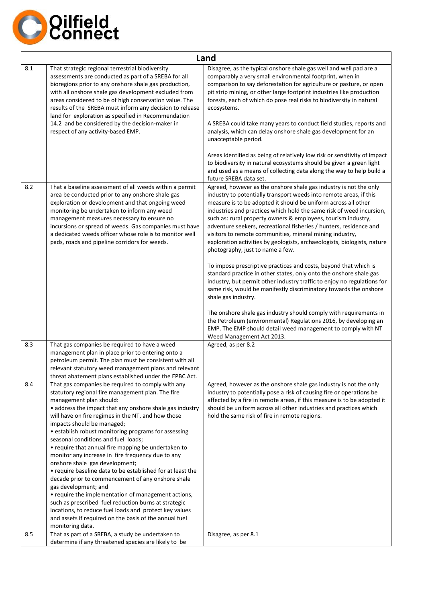

|     | Land                                                                                                                                                                                                                                                                                                                                                                                                                                                                                                                                                                                                                                                                                                                                                                                                                                                                                                                             |                                                                                                                                                                                                                                                                                                                                                                                                                                                                                                                                                                                                                                                                                                                                                                                                                                                                                                                       |
|-----|----------------------------------------------------------------------------------------------------------------------------------------------------------------------------------------------------------------------------------------------------------------------------------------------------------------------------------------------------------------------------------------------------------------------------------------------------------------------------------------------------------------------------------------------------------------------------------------------------------------------------------------------------------------------------------------------------------------------------------------------------------------------------------------------------------------------------------------------------------------------------------------------------------------------------------|-----------------------------------------------------------------------------------------------------------------------------------------------------------------------------------------------------------------------------------------------------------------------------------------------------------------------------------------------------------------------------------------------------------------------------------------------------------------------------------------------------------------------------------------------------------------------------------------------------------------------------------------------------------------------------------------------------------------------------------------------------------------------------------------------------------------------------------------------------------------------------------------------------------------------|
| 8.1 | That strategic regional terrestrial biodiversity<br>assessments are conducted as part of a SREBA for all<br>bioregions prior to any onshore shale gas production,<br>with all onshore shale gas development excluded from<br>areas considered to be of high conservation value. The<br>results of the SREBA must inform any decision to release<br>land for exploration as specified in Recommendation<br>14.2 and be considered by the decision-maker in<br>respect of any activity-based EMP.                                                                                                                                                                                                                                                                                                                                                                                                                                  | Disagree, as the typical onshore shale gas well and well pad are a<br>comparably a very small environmental footprint, when in<br>comparison to say deforestation for agriculture or pasture, or open<br>pit strip mining, or other large footprint industries like production<br>forests, each of which do pose real risks to biodiversity in natural<br>ecosystems.<br>A SREBA could take many years to conduct field studies, reports and<br>analysis, which can delay onshore shale gas development for an<br>unacceptable period.<br>Areas identified as being of relatively low risk or sensitivity of impact                                                                                                                                                                                                                                                                                                   |
|     |                                                                                                                                                                                                                                                                                                                                                                                                                                                                                                                                                                                                                                                                                                                                                                                                                                                                                                                                  | to biodiversity in natural ecosystems should be given a green light<br>and used as a means of collecting data along the way to help build a<br>future SREBA data set.                                                                                                                                                                                                                                                                                                                                                                                                                                                                                                                                                                                                                                                                                                                                                 |
| 8.2 | That a baseline assessment of all weeds within a permit<br>area be conducted prior to any onshore shale gas<br>exploration or development and that ongoing weed<br>monitoring be undertaken to inform any weed<br>management measures necessary to ensure no<br>incursions or spread of weeds. Gas companies must have<br>a dedicated weeds officer whose role is to monitor well<br>pads, roads and pipeline corridors for weeds.                                                                                                                                                                                                                                                                                                                                                                                                                                                                                               | Agreed, however as the onshore shale gas industry is not the only<br>industry to potentially transport weeds into remote areas, if this<br>measure is to be adopted it should be uniform across all other<br>industries and practices which hold the same risk of weed incursion,<br>such as: rural property owners & employees, tourism industry,<br>adventure seekers, recreational fisheries / hunters, residence and<br>visitors to remote communities, mineral mining industry,<br>exploration activities by geologists, archaeologists, biologists, nature<br>photography, just to name a few.<br>To impose prescriptive practices and costs, beyond that which is<br>standard practice in other states, only onto the onshore shale gas<br>industry, but permit other industry traffic to enjoy no regulations for<br>same risk, would be manifestly discriminatory towards the onshore<br>shale gas industry. |
|     |                                                                                                                                                                                                                                                                                                                                                                                                                                                                                                                                                                                                                                                                                                                                                                                                                                                                                                                                  | The onshore shale gas industry should comply with requirements in<br>the Petroleum (environmental) Regulations 2016, by developing an<br>EMP. The EMP should detail weed management to comply with NT<br>Weed Management Act 2013.                                                                                                                                                                                                                                                                                                                                                                                                                                                                                                                                                                                                                                                                                    |
| 8.3 | That gas companies be required to have a weed<br>management plan in place prior to entering onto a<br>petroleum permit. The plan must be consistent with all<br>relevant statutory weed management plans and relevant<br>threat abatement plans established under the EPBC Act.                                                                                                                                                                                                                                                                                                                                                                                                                                                                                                                                                                                                                                                  | Agreed, as per 8.2                                                                                                                                                                                                                                                                                                                                                                                                                                                                                                                                                                                                                                                                                                                                                                                                                                                                                                    |
| 8.4 | That gas companies be required to comply with any<br>statutory regional fire management plan. The fire<br>management plan should:<br>• address the impact that any onshore shale gas industry<br>will have on fire regimes in the NT, and how those<br>impacts should be managed;<br>• establish robust monitoring programs for assessing<br>seasonal conditions and fuel loads;<br>• require that annual fire mapping be undertaken to<br>monitor any increase in fire frequency due to any<br>onshore shale gas development;<br>• require baseline data to be established for at least the<br>decade prior to commencement of any onshore shale<br>gas development; and<br>• require the implementation of management actions,<br>such as prescribed fuel reduction burns at strategic<br>locations, to reduce fuel loads and protect key values<br>and assets if required on the basis of the annual fuel<br>monitoring data. | Agreed, however as the onshore shale gas industry is not the only<br>industry to potentially pose a risk of causing fire or operations be<br>affected by a fire in remote areas, if this measure is to be adopted it<br>should be uniform across all other industries and practices which<br>hold the same risk of fire in remote regions.                                                                                                                                                                                                                                                                                                                                                                                                                                                                                                                                                                            |
| 8.5 | That as part of a SREBA, a study be undertaken to<br>determine if any threatened species are likely to be                                                                                                                                                                                                                                                                                                                                                                                                                                                                                                                                                                                                                                                                                                                                                                                                                        | Disagree, as per 8.1                                                                                                                                                                                                                                                                                                                                                                                                                                                                                                                                                                                                                                                                                                                                                                                                                                                                                                  |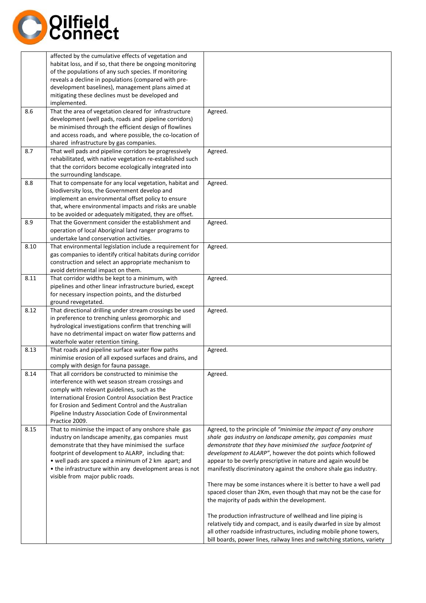

|      | affected by the cumulative effects of vegetation and<br>habitat loss, and if so, that there be ongoing monitoring<br>of the populations of any such species. If monitoring<br>reveals a decline in populations (compared with pre-<br>development baselines), management plans aimed at<br>mitigating these declines must be developed and<br>implemented.                 |                                                                                                                                                                                                                                                                                                                                                                                                                                                                                                                                                                                                |
|------|----------------------------------------------------------------------------------------------------------------------------------------------------------------------------------------------------------------------------------------------------------------------------------------------------------------------------------------------------------------------------|------------------------------------------------------------------------------------------------------------------------------------------------------------------------------------------------------------------------------------------------------------------------------------------------------------------------------------------------------------------------------------------------------------------------------------------------------------------------------------------------------------------------------------------------------------------------------------------------|
| 8.6  | That the area of vegetation cleared for infrastructure<br>development (well pads, roads and pipeline corridors)<br>be minimised through the efficient design of flowlines<br>and access roads, and where possible, the co-location of<br>shared infrastructure by gas companies.                                                                                           | Agreed.                                                                                                                                                                                                                                                                                                                                                                                                                                                                                                                                                                                        |
| 8.7  | That well pads and pipeline corridors be progressively<br>rehabilitated, with native vegetation re-established such<br>that the corridors become ecologically integrated into<br>the surrounding landscape.                                                                                                                                                                | Agreed.                                                                                                                                                                                                                                                                                                                                                                                                                                                                                                                                                                                        |
| 8.8  | That to compensate for any local vegetation, habitat and<br>biodiversity loss, the Government develop and<br>implement an environmental offset policy to ensure<br>that, where environmental impacts and risks are unable<br>to be avoided or adequately mitigated, they are offset.                                                                                       | Agreed.                                                                                                                                                                                                                                                                                                                                                                                                                                                                                                                                                                                        |
| 8.9  | That the Government consider the establishment and<br>operation of local Aboriginal land ranger programs to<br>undertake land conservation activities.                                                                                                                                                                                                                     | Agreed.                                                                                                                                                                                                                                                                                                                                                                                                                                                                                                                                                                                        |
| 8.10 | That environmental legislation include a requirement for<br>gas companies to identify critical habitats during corridor<br>construction and select an appropriate mechanism to<br>avoid detrimental impact on them.                                                                                                                                                        | Agreed.                                                                                                                                                                                                                                                                                                                                                                                                                                                                                                                                                                                        |
| 8.11 | That corridor widths be kept to a minimum, with<br>pipelines and other linear infrastructure buried, except<br>for necessary inspection points, and the disturbed<br>ground revegetated.                                                                                                                                                                                   | Agreed.                                                                                                                                                                                                                                                                                                                                                                                                                                                                                                                                                                                        |
| 8.12 | That directional drilling under stream crossings be used<br>in preference to trenching unless geomorphic and<br>hydrological investigations confirm that trenching will<br>have no detrimental impact on water flow patterns and<br>waterhole water retention timing.                                                                                                      | Agreed.                                                                                                                                                                                                                                                                                                                                                                                                                                                                                                                                                                                        |
| 8.13 | That roads and pipeline surface water flow paths<br>minimise erosion of all exposed surfaces and drains, and<br>comply with design for fauna passage.                                                                                                                                                                                                                      | Agreed.                                                                                                                                                                                                                                                                                                                                                                                                                                                                                                                                                                                        |
| 8.14 | That all corridors be constructed to minimise the<br>interference with wet season stream crossings and<br>comply with relevant guidelines, such as the<br>International Erosion Control Association Best Practice<br>for Erosion and Sediment Control and the Australian<br>Pipeline Industry Association Code of Environmental<br>Practice 2009.                          | Agreed.                                                                                                                                                                                                                                                                                                                                                                                                                                                                                                                                                                                        |
| 8.15 | That to minimise the impact of any onshore shale gas<br>industry on landscape amenity, gas companies must<br>demonstrate that they have minimised the surface<br>footprint of development to ALARP, including that:<br>• well pads are spaced a minimum of 2 km apart; and<br>• the infrastructure within any development areas is not<br>visible from major public roads. | Agreed, to the principle of "minimise the impact of any onshore<br>shale gas industry on landscape amenity, gas companies must<br>demonstrate that they have minimised the surface footprint of<br>development to ALARP", however the dot points which followed<br>appear to be overly prescriptive in nature and again would be<br>manifestly discriminatory against the onshore shale gas industry.<br>There may be some instances where it is better to have a well pad<br>spaced closer than 2Km, even though that may not be the case for<br>the majority of pads within the development. |
|      |                                                                                                                                                                                                                                                                                                                                                                            | The production infrastructure of wellhead and line piping is<br>relatively tidy and compact, and is easily dwarfed in size by almost<br>all other roadside infrastructures, including mobile phone towers,<br>bill boards, power lines, railway lines and switching stations, variety                                                                                                                                                                                                                                                                                                          |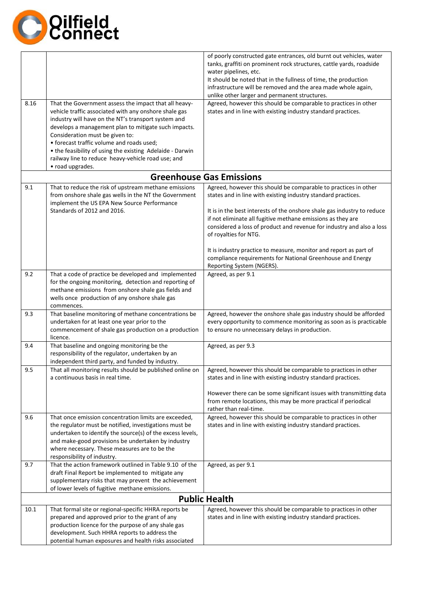

| 8.16 | That the Government assess the impact that all heavy-<br>vehicle traffic associated with any onshore shale gas                                                                                                                                                                                                                     | of poorly constructed gate entrances, old burnt out vehicles, water<br>tanks, graffiti on prominent rock structures, cattle yards, roadside<br>water pipelines, etc.<br>It should be noted that in the fullness of time, the production<br>infrastructure will be removed and the area made whole again,<br>unlike other larger and permanent structures.<br>Agreed, however this should be comparable to practices in other<br>states and in line with existing industry standard practices. |
|------|------------------------------------------------------------------------------------------------------------------------------------------------------------------------------------------------------------------------------------------------------------------------------------------------------------------------------------|-----------------------------------------------------------------------------------------------------------------------------------------------------------------------------------------------------------------------------------------------------------------------------------------------------------------------------------------------------------------------------------------------------------------------------------------------------------------------------------------------|
|      | industry will have on the NT's transport system and<br>develops a management plan to mitigate such impacts.<br>Consideration must be given to:<br>• forecast traffic volume and roads used;<br>• the feasibility of using the existing Adelaide - Darwin<br>railway line to reduce heavy-vehicle road use; and<br>• road upgrades. |                                                                                                                                                                                                                                                                                                                                                                                                                                                                                               |
|      |                                                                                                                                                                                                                                                                                                                                    | <b>Greenhouse Gas Emissions</b>                                                                                                                                                                                                                                                                                                                                                                                                                                                               |
| 9.1  | That to reduce the risk of upstream methane emissions<br>from onshore shale gas wells in the NT the Government<br>implement the US EPA New Source Performance<br>Standards of 2012 and 2016.                                                                                                                                       | Agreed, however this should be comparable to practices in other<br>states and in line with existing industry standard practices.<br>It is in the best interests of the onshore shale gas industry to reduce<br>if not eliminate all fugitive methane emissions as they are<br>considered a loss of product and revenue for industry and also a loss<br>of royalties for NTG.                                                                                                                  |
|      |                                                                                                                                                                                                                                                                                                                                    | It is industry practice to measure, monitor and report as part of<br>compliance requirements for National Greenhouse and Energy<br>Reporting System (NGERS).                                                                                                                                                                                                                                                                                                                                  |
| 9.2  | That a code of practice be developed and implemented<br>for the ongoing monitoring, detection and reporting of<br>methane emissions from onshore shale gas fields and<br>wells once production of any onshore shale gas<br>commences.                                                                                              | Agreed, as per 9.1                                                                                                                                                                                                                                                                                                                                                                                                                                                                            |
| 9.3  | That baseline monitoring of methane concentrations be<br>undertaken for at least one year prior to the<br>commencement of shale gas production on a production<br>licence.                                                                                                                                                         | Agreed, however the onshore shale gas industry should be afforded<br>every opportunity to commence monitoring as soon as is practicable<br>to ensure no unnecessary delays in production.                                                                                                                                                                                                                                                                                                     |
| 9.4  | That baseline and ongoing monitoring be the<br>responsibility of the regulator, undertaken by an<br>independent third party, and funded by industry.                                                                                                                                                                               | Agreed, as per 9.3                                                                                                                                                                                                                                                                                                                                                                                                                                                                            |
| 9.5  | That all monitoring results should be published online on<br>a continuous basis in real time.                                                                                                                                                                                                                                      | Agreed, however this should be comparable to practices in other<br>states and in line with existing industry standard practices.                                                                                                                                                                                                                                                                                                                                                              |
|      |                                                                                                                                                                                                                                                                                                                                    | However there can be some significant issues with transmitting data<br>from remote locations, this may be more practical if periodical<br>rather than real-time.                                                                                                                                                                                                                                                                                                                              |
| 9.6  | That once emission concentration limits are exceeded,<br>the regulator must be notified, investigations must be<br>undertaken to identify the source(s) of the excess levels,<br>and make-good provisions be undertaken by industry<br>where necessary. These measures are to be the<br>responsibility of industry.                | Agreed, however this should be comparable to practices in other<br>states and in line with existing industry standard practices.                                                                                                                                                                                                                                                                                                                                                              |
| 9.7  | That the action framework outlined in Table 9.10 of the<br>draft Final Report be implemented to mitigate any<br>supplementary risks that may prevent the achievement<br>of lower levels of fugitive methane emissions.                                                                                                             | Agreed, as per 9.1                                                                                                                                                                                                                                                                                                                                                                                                                                                                            |
|      |                                                                                                                                                                                                                                                                                                                                    | <b>Public Health</b>                                                                                                                                                                                                                                                                                                                                                                                                                                                                          |
| 10.1 | That formal site or regional-specific HHRA reports be<br>prepared and approved prior to the grant of any<br>production licence for the purpose of any shale gas<br>development. Such HHRA reports to address the<br>potential human exposures and health risks associated                                                          | Agreed, however this should be comparable to practices in other<br>states and in line with existing industry standard practices.                                                                                                                                                                                                                                                                                                                                                              |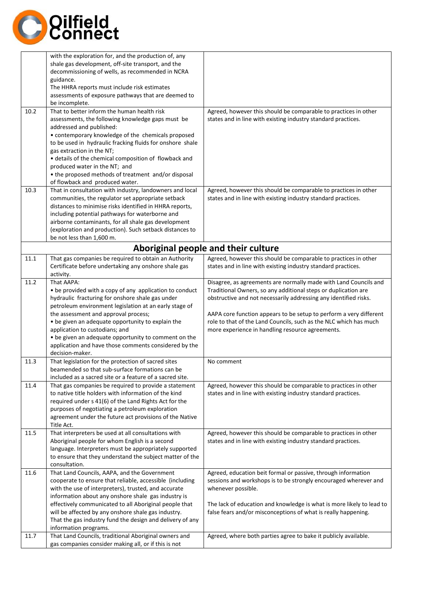

|      | with the exploration for, and the production of, any                                                          |                                                                                                                                  |
|------|---------------------------------------------------------------------------------------------------------------|----------------------------------------------------------------------------------------------------------------------------------|
|      | shale gas development, off-site transport, and the                                                            |                                                                                                                                  |
|      | decommissioning of wells, as recommended in NCRA                                                              |                                                                                                                                  |
|      | guidance.                                                                                                     |                                                                                                                                  |
|      | The HHRA reports must include risk estimates<br>assessments of exposure pathways that are deemed to           |                                                                                                                                  |
|      | be incomplete.                                                                                                |                                                                                                                                  |
| 10.2 | That to better inform the human health risk                                                                   | Agreed, however this should be comparable to practices in other                                                                  |
|      | assessments, the following knowledge gaps must be                                                             | states and in line with existing industry standard practices.                                                                    |
|      | addressed and published:                                                                                      |                                                                                                                                  |
|      | • contemporary knowledge of the chemicals proposed                                                            |                                                                                                                                  |
|      | to be used in hydraulic fracking fluids for onshore shale                                                     |                                                                                                                                  |
|      | gas extraction in the NT;                                                                                     |                                                                                                                                  |
|      | · details of the chemical composition of flowback and                                                         |                                                                                                                                  |
|      | produced water in the NT; and                                                                                 |                                                                                                                                  |
|      | • the proposed methods of treatment and/or disposal                                                           |                                                                                                                                  |
|      | of flowback and produced water.                                                                               |                                                                                                                                  |
| 10.3 | That in consultation with industry, landowners and local                                                      | Agreed, however this should be comparable to practices in other                                                                  |
|      | communities, the regulator set appropriate setback                                                            | states and in line with existing industry standard practices.                                                                    |
|      | distances to minimise risks identified in HHRA reports,                                                       |                                                                                                                                  |
|      | including potential pathways for waterborne and                                                               |                                                                                                                                  |
|      | airborne contaminants, for all shale gas development                                                          |                                                                                                                                  |
|      | (exploration and production). Such setback distances to                                                       |                                                                                                                                  |
|      | be not less than 1,600 m.                                                                                     |                                                                                                                                  |
|      |                                                                                                               | Aboriginal people and their culture                                                                                              |
| 11.1 | That gas companies be required to obtain an Authority                                                         | Agreed, however this should be comparable to practices in other                                                                  |
|      | Certificate before undertaking any onshore shale gas                                                          | states and in line with existing industry standard practices.                                                                    |
|      | activity.                                                                                                     |                                                                                                                                  |
| 11.2 | That AAPA:                                                                                                    | Disagree, as agreements are normally made with Land Councils and                                                                 |
|      | • be provided with a copy of any application to conduct                                                       | Traditional Owners, so any additional steps or duplication are                                                                   |
|      | hydraulic fracturing for onshore shale gas under                                                              | obstructive and not necessarily addressing any identified risks.                                                                 |
|      | petroleum environment legislation at an early stage of                                                        |                                                                                                                                  |
|      | the assessment and approval process;                                                                          | AAPA core function appears to be setup to perform a very different                                                               |
|      | . be given an adequate opportunity to explain the                                                             | role to that of the Land Councils, such as the NLC which has much                                                                |
|      | application to custodians; and                                                                                | more experience in handling resource agreements.                                                                                 |
|      | • be given an adequate opportunity to comment on the                                                          |                                                                                                                                  |
|      | application and have those comments considered by the                                                         |                                                                                                                                  |
|      | decision-maker.                                                                                               |                                                                                                                                  |
| 11.3 | That legislation for the protection of sacred sites                                                           | No comment                                                                                                                       |
|      | beamended so that sub-surface formations can be                                                               |                                                                                                                                  |
|      | included as a sacred site or a feature of a sacred site.                                                      |                                                                                                                                  |
| 11.4 | That gas companies be required to provide a statement<br>to native title holders with information of the kind | Agreed, however this should be comparable to practices in other<br>states and in line with existing industry standard practices. |
|      | required under s 41(6) of the Land Rights Act for the                                                         |                                                                                                                                  |
|      | purposes of negotiating a petroleum exploration                                                               |                                                                                                                                  |
|      | agreement under the future act provisions of the Native                                                       |                                                                                                                                  |
|      | Title Act.                                                                                                    |                                                                                                                                  |
| 11.5 | That interpreters be used at all consultations with                                                           | Agreed, however this should be comparable to practices in other                                                                  |
|      | Aboriginal people for whom English is a second                                                                | states and in line with existing industry standard practices.                                                                    |
|      | language. Interpreters must be appropriately supported                                                        |                                                                                                                                  |
|      | to ensure that they understand the subject matter of the                                                      |                                                                                                                                  |
|      | consultation.                                                                                                 |                                                                                                                                  |
| 11.6 | That Land Councils, AAPA, and the Government                                                                  | Agreed, education beit formal or passive, through information                                                                    |
|      | cooperate to ensure that reliable, accessible (including                                                      | sessions and workshops is to be strongly encouraged wherever and                                                                 |
|      | with the use of interpreters), trusted, and accurate                                                          | whenever possible.                                                                                                               |
|      | information about any onshore shale gas industry is                                                           |                                                                                                                                  |
|      | effectively communicated to all Aboriginal people that                                                        | The lack of education and knowledge is what is more likely to lead to                                                            |
|      | will be affected by any onshore shale gas industry.                                                           | false fears and/or misconceptions of what is really happening.                                                                   |
|      | That the gas industry fund the design and delivery of any                                                     |                                                                                                                                  |
|      | information programs.                                                                                         |                                                                                                                                  |
| 11.7 | That Land Councils, traditional Aboriginal owners and<br>gas companies consider making all, or if this is not | Agreed, where both parties agree to bake it publicly available.                                                                  |
|      |                                                                                                               |                                                                                                                                  |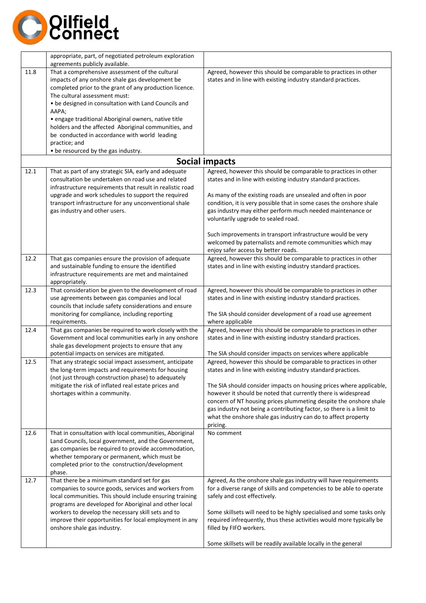

|      | appropriate, part, of negotiated petroleum exploration                                                                                                                                                                                                                               |                                                                                                                                                                                                           |
|------|--------------------------------------------------------------------------------------------------------------------------------------------------------------------------------------------------------------------------------------------------------------------------------------|-----------------------------------------------------------------------------------------------------------------------------------------------------------------------------------------------------------|
|      | agreements publicly available.                                                                                                                                                                                                                                                       |                                                                                                                                                                                                           |
| 11.8 | That a comprehensive assessment of the cultural<br>impacts of any onshore shale gas development be<br>completed prior to the grant of any production licence.<br>The cultural assessment must:                                                                                       | Agreed, however this should be comparable to practices in other<br>states and in line with existing industry standard practices.                                                                          |
|      | . be designed in consultation with Land Councils and<br>AAPA;                                                                                                                                                                                                                        |                                                                                                                                                                                                           |
|      | · engage traditional Aboriginal owners, native title<br>holders and the affected Aboriginal communities, and<br>be conducted in accordance with world leading<br>practice; and                                                                                                       |                                                                                                                                                                                                           |
|      | • be resourced by the gas industry.                                                                                                                                                                                                                                                  |                                                                                                                                                                                                           |
|      |                                                                                                                                                                                                                                                                                      | <b>Social impacts</b>                                                                                                                                                                                     |
| 12.1 | That as part of any strategic SIA, early and adequate                                                                                                                                                                                                                                | Agreed, however this should be comparable to practices in other                                                                                                                                           |
|      | consultation be undertaken on road use and related<br>infrastructure requirements that result in realistic road                                                                                                                                                                      | states and in line with existing industry standard practices.                                                                                                                                             |
|      | upgrade and work schedules to support the required                                                                                                                                                                                                                                   | As many of the existing roads are unsealed and often in poor                                                                                                                                              |
|      | transport infrastructure for any unconventional shale<br>gas industry and other users.                                                                                                                                                                                               | condition, it is very possible that in some cases the onshore shale<br>gas industry may either perform much needed maintenance or<br>voluntarily upgrade to sealed road.                                  |
|      |                                                                                                                                                                                                                                                                                      | Such improvements in transport infrastructure would be very<br>welcomed by paternalists and remote communities which may<br>enjoy safer access by better roads.                                           |
| 12.2 | That gas companies ensure the provision of adequate<br>and sustainable funding to ensure the identified<br>infrastructure requirements are met and maintained<br>appropriately.                                                                                                      | Agreed, however this should be comparable to practices in other<br>states and in line with existing industry standard practices.                                                                          |
| 12.3 | That consideration be given to the development of road<br>use agreements between gas companies and local<br>councils that include safety considerations and ensure                                                                                                                   | Agreed, however this should be comparable to practices in other<br>states and in line with existing industry standard practices.                                                                          |
|      | monitoring for compliance, including reporting<br>requirements.                                                                                                                                                                                                                      | The SIA should consider development of a road use agreement<br>where applicable                                                                                                                           |
| 12.4 | That gas companies be required to work closely with the<br>Government and local communities early in any onshore<br>shale gas development projects to ensure that any                                                                                                                | Agreed, however this should be comparable to practices in other<br>states and in line with existing industry standard practices.                                                                          |
| 12.5 | potential impacts on services are mitigated.<br>That any strategic social impact assessment, anticipate                                                                                                                                                                              | The SIA should consider impacts on services where applicable<br>Agreed, however this should be comparable to practices in other                                                                           |
|      | the long-term impacts and requirements for housing<br>(not just through construction phase) to adequately                                                                                                                                                                            | states and in line with existing industry standard practices.                                                                                                                                             |
|      | mitigate the risk of inflated real estate prices and<br>shortages within a community.                                                                                                                                                                                                | The SIA should consider impacts on housing prices where applicable,<br>however it should be noted that currently there is widespread<br>concern of NT housing prices plummeting despite the onshore shale |
|      |                                                                                                                                                                                                                                                                                      | gas industry not being a contributing factor, so there is a limit to<br>what the onshore shale gas industry can do to affect property<br>pricing.                                                         |
| 12.6 | That in consultation with local communities, Aboriginal<br>Land Councils, local government, and the Government,<br>gas companies be required to provide accommodation,<br>whether temporary or permanent, which must be<br>completed prior to the construction/development<br>phase. | No comment                                                                                                                                                                                                |
| 12.7 | That there be a minimum standard set for gas<br>companies to source goods, services and workers from<br>local communities. This should include ensuring training<br>programs are developed for Aboriginal and other local                                                            | Agreed, As the onshore shale gas industry will have requirements<br>for a diverse range of skills and competencies to be able to operate<br>safely and cost effectively.                                  |
|      | workers to develop the necessary skill sets and to<br>improve their opportunities for local employment in any<br>onshore shale gas industry.                                                                                                                                         | Some skillsets will need to be highly specialised and some tasks only<br>required infrequently, thus these activities would more typically be<br>filled by FIFO workers.                                  |
|      |                                                                                                                                                                                                                                                                                      | Some skillsets will be readily available locally in the general                                                                                                                                           |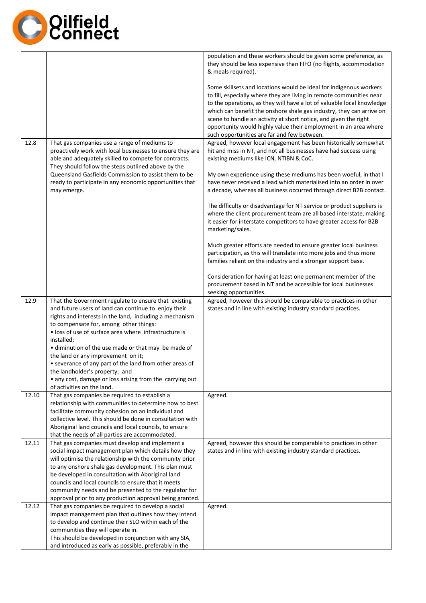

|       |                                                                                                                                                                                                                                                                                                                                                                                                                                                                                                                                                                              | population and these workers should be given some preference, as<br>they should be less expensive than FIFO (no flights, accommodation<br>& meals required).                                                                                                                                                                                                                                                                                                                        |
|-------|------------------------------------------------------------------------------------------------------------------------------------------------------------------------------------------------------------------------------------------------------------------------------------------------------------------------------------------------------------------------------------------------------------------------------------------------------------------------------------------------------------------------------------------------------------------------------|-------------------------------------------------------------------------------------------------------------------------------------------------------------------------------------------------------------------------------------------------------------------------------------------------------------------------------------------------------------------------------------------------------------------------------------------------------------------------------------|
|       |                                                                                                                                                                                                                                                                                                                                                                                                                                                                                                                                                                              | Some skillsets and locations would be ideal for indigenous workers<br>to fill, especially where they are living in remote communities near<br>to the operations, as they will have a lot of valuable local knowledge<br>which can benefit the onshore shale gas industry, they can arrive on<br>scene to handle an activity at short notice, and given the right<br>opportunity would highly value their employment in an area where<br>such opportunities are far and few between. |
| 12.8  | That gas companies use a range of mediums to<br>proactively work with local businesses to ensure they are<br>able and adequately skilled to compete for contracts.<br>They should follow the steps outlined above by the                                                                                                                                                                                                                                                                                                                                                     | Agreed, however local engagement has been historically somewhat<br>hit and miss in NT, and not all businesses have had success using<br>existing mediums like ICN, NTIBN & CoC.                                                                                                                                                                                                                                                                                                     |
|       | Queensland Gasfields Commission to assist them to be<br>ready to participate in any economic opportunities that<br>may emerge.                                                                                                                                                                                                                                                                                                                                                                                                                                               | My own experience using these mediums has been woeful, in that I<br>have never received a lead which materialised into an order in over<br>a decade, whereas all business occurred through direct B2B contact.                                                                                                                                                                                                                                                                      |
|       |                                                                                                                                                                                                                                                                                                                                                                                                                                                                                                                                                                              | The difficulty or disadvantage for NT service or product suppliers is<br>where the client procurement team are all based interstate, making<br>it easier for interstate competitors to have greater access for B2B<br>marketing/sales.                                                                                                                                                                                                                                              |
|       |                                                                                                                                                                                                                                                                                                                                                                                                                                                                                                                                                                              | Much greater efforts are needed to ensure greater local business<br>participation, as this will translate into more jobs and thus more<br>families reliant on the industry and a stronger support base.                                                                                                                                                                                                                                                                             |
|       |                                                                                                                                                                                                                                                                                                                                                                                                                                                                                                                                                                              | Consideration for having at least one permanent member of the<br>procurement based in NT and be accessible for local businesses<br>seeking opportunities.                                                                                                                                                                                                                                                                                                                           |
| 12.9  | That the Government regulate to ensure that existing<br>and future users of land can continue to enjoy their<br>rights and interests in the land, including a mechanism<br>to compensate for, among other things:<br>• loss of use of surface area where infrastructure is<br>installed;<br>• diminution of the use made or that may be made of<br>the land or any improvement on it;<br>• severance of any part of the land from other areas of<br>the landholder's property; and<br>• any cost, damage or loss arising from the carrying out<br>of activities on the land. | Agreed, however this should be comparable to practices in other<br>states and in line with existing industry standard practices.                                                                                                                                                                                                                                                                                                                                                    |
| 12.10 | That gas companies be required to establish a<br>relationship with communities to determine how to best<br>facilitate community cohesion on an individual and<br>collective level. This should be done in consultation with<br>Aboriginal land councils and local councils, to ensure<br>that the needs of all parties are accommodated.                                                                                                                                                                                                                                     | Agreed.                                                                                                                                                                                                                                                                                                                                                                                                                                                                             |
| 12.11 | That gas companies must develop and implement a<br>social impact management plan which details how they<br>will optimise the relationship with the community prior<br>to any onshore shale gas development. This plan must<br>be developed in consultation with Aboriginal land<br>councils and local councils to ensure that it meets<br>community needs and be presented to the regulator for<br>approval prior to any production approval being granted.                                                                                                                  | Agreed, however this should be comparable to practices in other<br>states and in line with existing industry standard practices.                                                                                                                                                                                                                                                                                                                                                    |
| 12.12 | That gas companies be required to develop a social<br>impact management plan that outlines how they intend<br>to develop and continue their SLO within each of the<br>communities they will operate in.<br>This should be developed in conjunction with any SIA,<br>and introduced as early as possible, preferably in the                                                                                                                                                                                                                                                   | Agreed.                                                                                                                                                                                                                                                                                                                                                                                                                                                                             |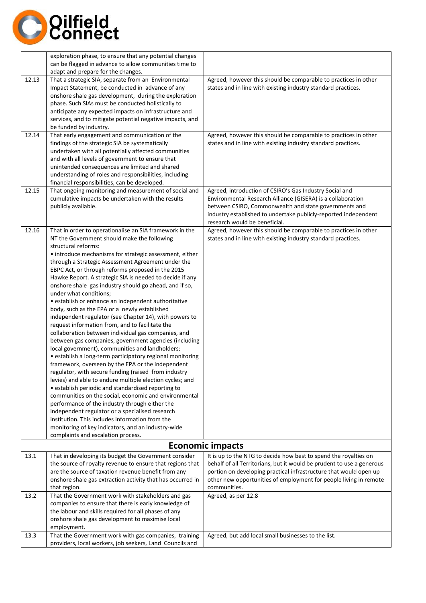

|              | exploration phase, to ensure that any potential changes<br>can be flagged in advance to allow communities time to<br>adapt and prepare for the changes.                                                                                                                                                                                                                                                                                                                                                                                                                                                                                                                                                                                                                                                                                                                                                                                                                                                                                                                                                                                                                                                                                                                                                                                                                                                                                             |                                                                                                                                                                                                                                                                                                                            |
|--------------|-----------------------------------------------------------------------------------------------------------------------------------------------------------------------------------------------------------------------------------------------------------------------------------------------------------------------------------------------------------------------------------------------------------------------------------------------------------------------------------------------------------------------------------------------------------------------------------------------------------------------------------------------------------------------------------------------------------------------------------------------------------------------------------------------------------------------------------------------------------------------------------------------------------------------------------------------------------------------------------------------------------------------------------------------------------------------------------------------------------------------------------------------------------------------------------------------------------------------------------------------------------------------------------------------------------------------------------------------------------------------------------------------------------------------------------------------------|----------------------------------------------------------------------------------------------------------------------------------------------------------------------------------------------------------------------------------------------------------------------------------------------------------------------------|
| 12.13        | That a strategic SIA, separate from an Environmental<br>Impact Statement, be conducted in advance of any<br>onshore shale gas development, during the exploration<br>phase. Such SIAs must be conducted holistically to<br>anticipate any expected impacts on infrastructure and<br>services, and to mitigate potential negative impacts, and<br>be funded by industry.                                                                                                                                                                                                                                                                                                                                                                                                                                                                                                                                                                                                                                                                                                                                                                                                                                                                                                                                                                                                                                                                             | Agreed, however this should be comparable to practices in other<br>states and in line with existing industry standard practices.                                                                                                                                                                                           |
| 12.14        | That early engagement and communication of the<br>findings of the strategic SIA be systematically<br>undertaken with all potentially affected communities<br>and with all levels of government to ensure that<br>unintended consequences are limited and shared<br>understanding of roles and responsibilities, including<br>financial responsibilities, can be developed.                                                                                                                                                                                                                                                                                                                                                                                                                                                                                                                                                                                                                                                                                                                                                                                                                                                                                                                                                                                                                                                                          | Agreed, however this should be comparable to practices in other<br>states and in line with existing industry standard practices.                                                                                                                                                                                           |
| 12.15        | That ongoing monitoring and measurement of social and<br>cumulative impacts be undertaken with the results<br>publicly available.                                                                                                                                                                                                                                                                                                                                                                                                                                                                                                                                                                                                                                                                                                                                                                                                                                                                                                                                                                                                                                                                                                                                                                                                                                                                                                                   | Agreed, introduction of CSIRO's Gas Industry Social and<br>Environmental Research Alliance (GISERA) is a collaboration<br>between CSIRO, Commonwealth and state governments and<br>industry established to undertake publicly-reported independent<br>research would be beneficial.                                        |
| 12.16        | That in order to operationalise an SIA framework in the<br>NT the Government should make the following<br>structural reforms:<br>• introduce mechanisms for strategic assessment, either<br>through a Strategic Assessment Agreement under the<br>EBPC Act, or through reforms proposed in the 2015<br>Hawke Report. A strategic SIA is needed to decide if any<br>onshore shale gas industry should go ahead, and if so,<br>under what conditions;<br>• establish or enhance an independent authoritative<br>body, such as the EPA or a newly established<br>independent regulator (see Chapter 14), with powers to<br>request information from, and to facilitate the<br>collaboration between individual gas companies, and<br>between gas companies, government agencies (including<br>local government), communities and landholders;<br>• establish a long-term participatory regional monitoring<br>framework, overseen by the EPA or the independent<br>regulator, with secure funding (raised from industry<br>levies) and able to endure multiple election cycles; and<br>• establish periodic and standardised reporting to<br>communities on the social, economic and environmental<br>performance of the industry through either the<br>independent regulator or a specialised research<br>institution. This includes information from the<br>monitoring of key indicators, and an industry-wide<br>complaints and escalation process. | Agreed, however this should be comparable to practices in other<br>states and in line with existing industry standard practices.                                                                                                                                                                                           |
|              |                                                                                                                                                                                                                                                                                                                                                                                                                                                                                                                                                                                                                                                                                                                                                                                                                                                                                                                                                                                                                                                                                                                                                                                                                                                                                                                                                                                                                                                     | <b>Economic impacts</b>                                                                                                                                                                                                                                                                                                    |
| 13.1<br>13.2 | That in developing its budget the Government consider<br>the source of royalty revenue to ensure that regions that<br>are the source of taxation revenue benefit from any<br>onshore shale gas extraction activity that has occurred in<br>that region.<br>That the Government work with stakeholders and gas                                                                                                                                                                                                                                                                                                                                                                                                                                                                                                                                                                                                                                                                                                                                                                                                                                                                                                                                                                                                                                                                                                                                       | It is up to the NTG to decide how best to spend the royalties on<br>behalf of all Territorians, but it would be prudent to use a generous<br>portion on developing practical infrastructure that would open up<br>other new opportunities of employment for people living in remote<br>communities.<br>Agreed, as per 12.8 |
| 13.3         | companies to ensure that there is early knowledge of<br>the labour and skills required for all phases of any<br>onshore shale gas development to maximise local<br>employment.<br>That the Government work with gas companies, training                                                                                                                                                                                                                                                                                                                                                                                                                                                                                                                                                                                                                                                                                                                                                                                                                                                                                                                                                                                                                                                                                                                                                                                                             | Agreed, but add local small businesses to the list.                                                                                                                                                                                                                                                                        |
|              | providers, local workers, job seekers, Land Councils and                                                                                                                                                                                                                                                                                                                                                                                                                                                                                                                                                                                                                                                                                                                                                                                                                                                                                                                                                                                                                                                                                                                                                                                                                                                                                                                                                                                            |                                                                                                                                                                                                                                                                                                                            |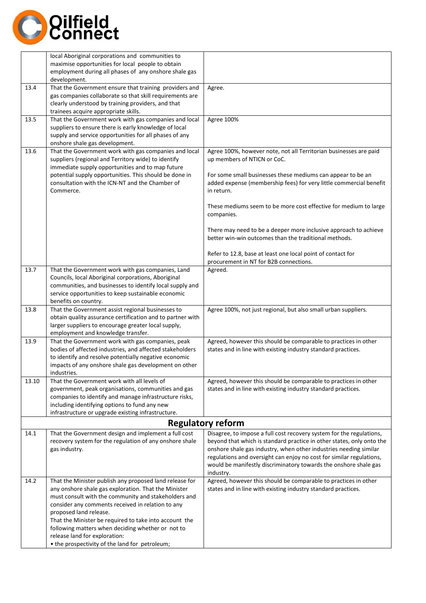

|       | local Aboriginal corporations and communities to<br>maximise opportunities for local people to obtain<br>employment during all phases of any onshore shale gas<br>development.                                                                                                                                                                                                                                                                           |                                                                                                                                                                                                                                                                                                                                                                             |
|-------|----------------------------------------------------------------------------------------------------------------------------------------------------------------------------------------------------------------------------------------------------------------------------------------------------------------------------------------------------------------------------------------------------------------------------------------------------------|-----------------------------------------------------------------------------------------------------------------------------------------------------------------------------------------------------------------------------------------------------------------------------------------------------------------------------------------------------------------------------|
| 13.4  | That the Government ensure that training providers and<br>gas companies collaborate so that skill requirements are<br>clearly understood by training providers, and that<br>trainees acquire appropriate skills.                                                                                                                                                                                                                                         | Agree.                                                                                                                                                                                                                                                                                                                                                                      |
| 13.5  | That the Government work with gas companies and local<br>suppliers to ensure there is early knowledge of local<br>supply and service opportunities for all phases of any<br>onshore shale gas development.                                                                                                                                                                                                                                               | Agree 100%                                                                                                                                                                                                                                                                                                                                                                  |
| 13.6  | That the Government work with gas companies and local<br>suppliers (regional and Territory wide) to identify<br>immediate supply opportunities and to map future<br>potential supply opportunities. This should be done in<br>consultation with the ICN-NT and the Chamber of<br>Commerce.                                                                                                                                                               | Agree 100%, however note, not all Territorian businesses are paid<br>up members of NTICN or CoC.<br>For some small businesses these mediums can appear to be an<br>added expense (membership fees) for very little commercial benefit<br>in return.                                                                                                                         |
|       |                                                                                                                                                                                                                                                                                                                                                                                                                                                          | These mediums seem to be more cost effective for medium to large<br>companies.                                                                                                                                                                                                                                                                                              |
|       |                                                                                                                                                                                                                                                                                                                                                                                                                                                          | There may need to be a deeper more inclusive approach to achieve<br>better win-win outcomes than the traditional methods.                                                                                                                                                                                                                                                   |
|       |                                                                                                                                                                                                                                                                                                                                                                                                                                                          | Refer to 12.8, base at least one local point of contact for<br>procurement in NT for B2B connections.                                                                                                                                                                                                                                                                       |
| 13.7  | That the Government work with gas companies, Land<br>Councils, local Aboriginal corporations, Aboriginal<br>communities, and businesses to identify local supply and<br>service opportunities to keep sustainable economic<br>benefits on country.                                                                                                                                                                                                       | Agreed.                                                                                                                                                                                                                                                                                                                                                                     |
| 13.8  | That the Government assist regional businesses to<br>obtain quality assurance certification and to partner with<br>larger suppliers to encourage greater local supply,<br>employment and knowledge transfer.                                                                                                                                                                                                                                             | Agree 100%, not just regional, but also small urban suppliers.                                                                                                                                                                                                                                                                                                              |
| 13.9  | That the Government work with gas companies, peak<br>bodies of affected industries, and affected stakeholders<br>to identify and resolve potentially negative economic<br>impacts of any onshore shale gas development on other<br>industries.                                                                                                                                                                                                           | Agreed, however this should be comparable to practices in other<br>states and in line with existing industry standard practices.                                                                                                                                                                                                                                            |
| 13.10 | That the Government work with all levels of<br>government, peak organisations, communities and gas<br>companies to identify and manage infrastructure risks,<br>including identifying options to fund any new<br>infrastructure or upgrade existing infrastructure.                                                                                                                                                                                      | Agreed, however this should be comparable to practices in other<br>states and in line with existing industry standard practices.                                                                                                                                                                                                                                            |
|       |                                                                                                                                                                                                                                                                                                                                                                                                                                                          | <b>Regulatory reform</b>                                                                                                                                                                                                                                                                                                                                                    |
| 14.1  | That the Government design and implement a full cost<br>recovery system for the regulation of any onshore shale<br>gas industry.                                                                                                                                                                                                                                                                                                                         | Disagree, to impose a full cost recovery system for the regulations,<br>beyond that which is standard practice in other states, only onto the<br>onshore shale gas industry, when other industries needing similar<br>regulations and oversight can enjoy no cost for similar regulations,<br>would be manifestly discriminatory towards the onshore shale gas<br>industry. |
| 14.2  | That the Minister publish any proposed land release for<br>any onshore shale gas exploration. That the Minister<br>must consult with the community and stakeholders and<br>consider any comments received in relation to any<br>proposed land release.<br>That the Minister be required to take into account the<br>following matters when deciding whether or not to<br>release land for exploration:<br>• the prospectivity of the land for petroleum; | Agreed, however this should be comparable to practices in other<br>states and in line with existing industry standard practices.                                                                                                                                                                                                                                            |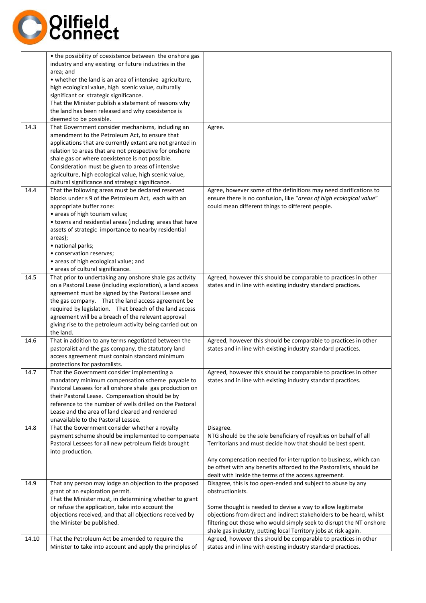

| industry and any existing or future industries in the<br>area; and<br>• whether the land is an area of intensive agriculture,<br>high ecological value, high scenic value, culturally<br>significant or strategic significance.<br>That the Minister publish a statement of reasons why<br>the land has been released and why coexistence is<br>deemed to be possible.<br>That Government consider mechanisms, including an<br>14.3<br>Agree.<br>amendment to the Petroleum Act, to ensure that<br>applications that are currently extant are not granted in<br>relation to areas that are not prospective for onshore<br>shale gas or where coexistence is not possible.<br>Consideration must be given to areas of intensive<br>agriculture, high ecological value, high scenic value,<br>cultural significance and strategic significance.<br>Agree, however some of the definitions may need clarifications to<br>14.4<br>That the following areas must be declared reserved<br>blocks under s 9 of the Petroleum Act, each with an<br>ensure there is no confusion, like "areas of high ecological value"<br>appropriate buffer zone:<br>could mean different things to different people.<br>• areas of high tourism value;<br>• towns and residential areas (including areas that have<br>assets of strategic importance to nearby residential<br>areas);<br>· national parks;<br>• conservation reserves;<br>• areas of high ecological value; and<br>• areas of cultural significance.<br>That prior to undertaking any onshore shale gas activity<br>Agreed, however this should be comparable to practices in other<br>14.5<br>on a Pastoral Lease (including exploration), a land access<br>states and in line with existing industry standard practices.<br>agreement must be signed by the Pastoral Lessee and<br>the gas company. That the land access agreement be<br>required by legislation. That breach of the land access<br>agreement will be a breach of the relevant approval<br>giving rise to the petroleum activity being carried out on<br>the land.<br>That in addition to any terms negotiated between the<br>Agreed, however this should be comparable to practices in other<br>14.6<br>pastoralist and the gas company, the statutory land<br>states and in line with existing industry standard practices.<br>access agreement must contain standard minimum<br>protections for pastoralists.<br>14.7<br>That the Government consider implementing a<br>Agreed, however this should be comparable to practices in other<br>mandatory minimum compensation scheme payable to<br>states and in line with existing industry standard practices.<br>Pastoral Lessees for all onshore shale gas production on<br>their Pastoral Lease. Compensation should be by<br>reference to the number of wells drilled on the Pastoral<br>Lease and the area of land cleared and rendered<br>unavailable to the Pastoral Lessee.<br>That the Government consider whether a royalty<br>14.8<br>Disagree.<br>payment scheme should be implemented to compensate<br>NTG should be the sole beneficiary of royalties on behalf of all<br>Pastoral Lessees for all new petroleum fields brought<br>Territorians and must decide how that should be best spent.<br>into production.<br>Any compensation needed for interruption to business, which can<br>be offset with any benefits afforded to the Pastoralists, should be<br>dealt with inside the terms of the access agreement.<br>Disagree, this is too open-ended and subject to abuse by any<br>14.9<br>That any person may lodge an objection to the proposed<br>obstructionists.<br>grant of an exploration permit.<br>That the Minister must, in determining whether to grant<br>or refuse the application, take into account the<br>Some thought is needed to devise a way to allow legitimate<br>objections received, and that all objections received by<br>objections from direct and indirect stakeholders to be heard, whilst<br>filtering out those who would simply seek to disrupt the NT onshore<br>the Minister be published.<br>shale gas industry, putting local Territory jobs at risk again.<br>Agreed, however this should be comparable to practices in other<br>That the Petroleum Act be amended to require the<br>14.10 | • the possibility of coexistence between the onshore gas  |                                                               |
|-------------------------------------------------------------------------------------------------------------------------------------------------------------------------------------------------------------------------------------------------------------------------------------------------------------------------------------------------------------------------------------------------------------------------------------------------------------------------------------------------------------------------------------------------------------------------------------------------------------------------------------------------------------------------------------------------------------------------------------------------------------------------------------------------------------------------------------------------------------------------------------------------------------------------------------------------------------------------------------------------------------------------------------------------------------------------------------------------------------------------------------------------------------------------------------------------------------------------------------------------------------------------------------------------------------------------------------------------------------------------------------------------------------------------------------------------------------------------------------------------------------------------------------------------------------------------------------------------------------------------------------------------------------------------------------------------------------------------------------------------------------------------------------------------------------------------------------------------------------------------------------------------------------------------------------------------------------------------------------------------------------------------------------------------------------------------------------------------------------------------------------------------------------------------------------------------------------------------------------------------------------------------------------------------------------------------------------------------------------------------------------------------------------------------------------------------------------------------------------------------------------------------------------------------------------------------------------------------------------------------------------------------------------------------------------------------------------------------------------------------------------------------------------------------------------------------------------------------------------------------------------------------------------------------------------------------------------------------------------------------------------------------------------------------------------------------------------------------------------------------------------------------------------------------------------------------------------------------------------------------------------------------------------------------------------------------------------------------------------------------------------------------------------------------------------------------------------------------------------------------------------------------------------------------------------------------------------------------------------------------------------------------------------------------------------------------------------------------------------------------------------------------------------------------------------------------------------------------------------------------------------------------------------------------------------------------------------------------------------------------------------------------------------------------------------------------------------------------------------------------------------------------------------------------------------------------------------------------------------------------------------------------------------------------------------------|-----------------------------------------------------------|---------------------------------------------------------------|
|                                                                                                                                                                                                                                                                                                                                                                                                                                                                                                                                                                                                                                                                                                                                                                                                                                                                                                                                                                                                                                                                                                                                                                                                                                                                                                                                                                                                                                                                                                                                                                                                                                                                                                                                                                                                                                                                                                                                                                                                                                                                                                                                                                                                                                                                                                                                                                                                                                                                                                                                                                                                                                                                                                                                                                                                                                                                                                                                                                                                                                                                                                                                                                                                                                                                                                                                                                                                                                                                                                                                                                                                                                                                                                                                                                                                                                                                                                                                                                                                                                                                                                                                                                                                                                                                                                                   |                                                           |                                                               |
|                                                                                                                                                                                                                                                                                                                                                                                                                                                                                                                                                                                                                                                                                                                                                                                                                                                                                                                                                                                                                                                                                                                                                                                                                                                                                                                                                                                                                                                                                                                                                                                                                                                                                                                                                                                                                                                                                                                                                                                                                                                                                                                                                                                                                                                                                                                                                                                                                                                                                                                                                                                                                                                                                                                                                                                                                                                                                                                                                                                                                                                                                                                                                                                                                                                                                                                                                                                                                                                                                                                                                                                                                                                                                                                                                                                                                                                                                                                                                                                                                                                                                                                                                                                                                                                                                                                   |                                                           |                                                               |
|                                                                                                                                                                                                                                                                                                                                                                                                                                                                                                                                                                                                                                                                                                                                                                                                                                                                                                                                                                                                                                                                                                                                                                                                                                                                                                                                                                                                                                                                                                                                                                                                                                                                                                                                                                                                                                                                                                                                                                                                                                                                                                                                                                                                                                                                                                                                                                                                                                                                                                                                                                                                                                                                                                                                                                                                                                                                                                                                                                                                                                                                                                                                                                                                                                                                                                                                                                                                                                                                                                                                                                                                                                                                                                                                                                                                                                                                                                                                                                                                                                                                                                                                                                                                                                                                                                                   |                                                           |                                                               |
|                                                                                                                                                                                                                                                                                                                                                                                                                                                                                                                                                                                                                                                                                                                                                                                                                                                                                                                                                                                                                                                                                                                                                                                                                                                                                                                                                                                                                                                                                                                                                                                                                                                                                                                                                                                                                                                                                                                                                                                                                                                                                                                                                                                                                                                                                                                                                                                                                                                                                                                                                                                                                                                                                                                                                                                                                                                                                                                                                                                                                                                                                                                                                                                                                                                                                                                                                                                                                                                                                                                                                                                                                                                                                                                                                                                                                                                                                                                                                                                                                                                                                                                                                                                                                                                                                                                   |                                                           |                                                               |
|                                                                                                                                                                                                                                                                                                                                                                                                                                                                                                                                                                                                                                                                                                                                                                                                                                                                                                                                                                                                                                                                                                                                                                                                                                                                                                                                                                                                                                                                                                                                                                                                                                                                                                                                                                                                                                                                                                                                                                                                                                                                                                                                                                                                                                                                                                                                                                                                                                                                                                                                                                                                                                                                                                                                                                                                                                                                                                                                                                                                                                                                                                                                                                                                                                                                                                                                                                                                                                                                                                                                                                                                                                                                                                                                                                                                                                                                                                                                                                                                                                                                                                                                                                                                                                                                                                                   |                                                           |                                                               |
|                                                                                                                                                                                                                                                                                                                                                                                                                                                                                                                                                                                                                                                                                                                                                                                                                                                                                                                                                                                                                                                                                                                                                                                                                                                                                                                                                                                                                                                                                                                                                                                                                                                                                                                                                                                                                                                                                                                                                                                                                                                                                                                                                                                                                                                                                                                                                                                                                                                                                                                                                                                                                                                                                                                                                                                                                                                                                                                                                                                                                                                                                                                                                                                                                                                                                                                                                                                                                                                                                                                                                                                                                                                                                                                                                                                                                                                                                                                                                                                                                                                                                                                                                                                                                                                                                                                   |                                                           |                                                               |
|                                                                                                                                                                                                                                                                                                                                                                                                                                                                                                                                                                                                                                                                                                                                                                                                                                                                                                                                                                                                                                                                                                                                                                                                                                                                                                                                                                                                                                                                                                                                                                                                                                                                                                                                                                                                                                                                                                                                                                                                                                                                                                                                                                                                                                                                                                                                                                                                                                                                                                                                                                                                                                                                                                                                                                                                                                                                                                                                                                                                                                                                                                                                                                                                                                                                                                                                                                                                                                                                                                                                                                                                                                                                                                                                                                                                                                                                                                                                                                                                                                                                                                                                                                                                                                                                                                                   |                                                           |                                                               |
|                                                                                                                                                                                                                                                                                                                                                                                                                                                                                                                                                                                                                                                                                                                                                                                                                                                                                                                                                                                                                                                                                                                                                                                                                                                                                                                                                                                                                                                                                                                                                                                                                                                                                                                                                                                                                                                                                                                                                                                                                                                                                                                                                                                                                                                                                                                                                                                                                                                                                                                                                                                                                                                                                                                                                                                                                                                                                                                                                                                                                                                                                                                                                                                                                                                                                                                                                                                                                                                                                                                                                                                                                                                                                                                                                                                                                                                                                                                                                                                                                                                                                                                                                                                                                                                                                                                   |                                                           |                                                               |
|                                                                                                                                                                                                                                                                                                                                                                                                                                                                                                                                                                                                                                                                                                                                                                                                                                                                                                                                                                                                                                                                                                                                                                                                                                                                                                                                                                                                                                                                                                                                                                                                                                                                                                                                                                                                                                                                                                                                                                                                                                                                                                                                                                                                                                                                                                                                                                                                                                                                                                                                                                                                                                                                                                                                                                                                                                                                                                                                                                                                                                                                                                                                                                                                                                                                                                                                                                                                                                                                                                                                                                                                                                                                                                                                                                                                                                                                                                                                                                                                                                                                                                                                                                                                                                                                                                                   |                                                           |                                                               |
|                                                                                                                                                                                                                                                                                                                                                                                                                                                                                                                                                                                                                                                                                                                                                                                                                                                                                                                                                                                                                                                                                                                                                                                                                                                                                                                                                                                                                                                                                                                                                                                                                                                                                                                                                                                                                                                                                                                                                                                                                                                                                                                                                                                                                                                                                                                                                                                                                                                                                                                                                                                                                                                                                                                                                                                                                                                                                                                                                                                                                                                                                                                                                                                                                                                                                                                                                                                                                                                                                                                                                                                                                                                                                                                                                                                                                                                                                                                                                                                                                                                                                                                                                                                                                                                                                                                   |                                                           |                                                               |
|                                                                                                                                                                                                                                                                                                                                                                                                                                                                                                                                                                                                                                                                                                                                                                                                                                                                                                                                                                                                                                                                                                                                                                                                                                                                                                                                                                                                                                                                                                                                                                                                                                                                                                                                                                                                                                                                                                                                                                                                                                                                                                                                                                                                                                                                                                                                                                                                                                                                                                                                                                                                                                                                                                                                                                                                                                                                                                                                                                                                                                                                                                                                                                                                                                                                                                                                                                                                                                                                                                                                                                                                                                                                                                                                                                                                                                                                                                                                                                                                                                                                                                                                                                                                                                                                                                                   |                                                           |                                                               |
|                                                                                                                                                                                                                                                                                                                                                                                                                                                                                                                                                                                                                                                                                                                                                                                                                                                                                                                                                                                                                                                                                                                                                                                                                                                                                                                                                                                                                                                                                                                                                                                                                                                                                                                                                                                                                                                                                                                                                                                                                                                                                                                                                                                                                                                                                                                                                                                                                                                                                                                                                                                                                                                                                                                                                                                                                                                                                                                                                                                                                                                                                                                                                                                                                                                                                                                                                                                                                                                                                                                                                                                                                                                                                                                                                                                                                                                                                                                                                                                                                                                                                                                                                                                                                                                                                                                   |                                                           |                                                               |
|                                                                                                                                                                                                                                                                                                                                                                                                                                                                                                                                                                                                                                                                                                                                                                                                                                                                                                                                                                                                                                                                                                                                                                                                                                                                                                                                                                                                                                                                                                                                                                                                                                                                                                                                                                                                                                                                                                                                                                                                                                                                                                                                                                                                                                                                                                                                                                                                                                                                                                                                                                                                                                                                                                                                                                                                                                                                                                                                                                                                                                                                                                                                                                                                                                                                                                                                                                                                                                                                                                                                                                                                                                                                                                                                                                                                                                                                                                                                                                                                                                                                                                                                                                                                                                                                                                                   |                                                           |                                                               |
|                                                                                                                                                                                                                                                                                                                                                                                                                                                                                                                                                                                                                                                                                                                                                                                                                                                                                                                                                                                                                                                                                                                                                                                                                                                                                                                                                                                                                                                                                                                                                                                                                                                                                                                                                                                                                                                                                                                                                                                                                                                                                                                                                                                                                                                                                                                                                                                                                                                                                                                                                                                                                                                                                                                                                                                                                                                                                                                                                                                                                                                                                                                                                                                                                                                                                                                                                                                                                                                                                                                                                                                                                                                                                                                                                                                                                                                                                                                                                                                                                                                                                                                                                                                                                                                                                                                   |                                                           |                                                               |
|                                                                                                                                                                                                                                                                                                                                                                                                                                                                                                                                                                                                                                                                                                                                                                                                                                                                                                                                                                                                                                                                                                                                                                                                                                                                                                                                                                                                                                                                                                                                                                                                                                                                                                                                                                                                                                                                                                                                                                                                                                                                                                                                                                                                                                                                                                                                                                                                                                                                                                                                                                                                                                                                                                                                                                                                                                                                                                                                                                                                                                                                                                                                                                                                                                                                                                                                                                                                                                                                                                                                                                                                                                                                                                                                                                                                                                                                                                                                                                                                                                                                                                                                                                                                                                                                                                                   |                                                           |                                                               |
|                                                                                                                                                                                                                                                                                                                                                                                                                                                                                                                                                                                                                                                                                                                                                                                                                                                                                                                                                                                                                                                                                                                                                                                                                                                                                                                                                                                                                                                                                                                                                                                                                                                                                                                                                                                                                                                                                                                                                                                                                                                                                                                                                                                                                                                                                                                                                                                                                                                                                                                                                                                                                                                                                                                                                                                                                                                                                                                                                                                                                                                                                                                                                                                                                                                                                                                                                                                                                                                                                                                                                                                                                                                                                                                                                                                                                                                                                                                                                                                                                                                                                                                                                                                                                                                                                                                   |                                                           |                                                               |
|                                                                                                                                                                                                                                                                                                                                                                                                                                                                                                                                                                                                                                                                                                                                                                                                                                                                                                                                                                                                                                                                                                                                                                                                                                                                                                                                                                                                                                                                                                                                                                                                                                                                                                                                                                                                                                                                                                                                                                                                                                                                                                                                                                                                                                                                                                                                                                                                                                                                                                                                                                                                                                                                                                                                                                                                                                                                                                                                                                                                                                                                                                                                                                                                                                                                                                                                                                                                                                                                                                                                                                                                                                                                                                                                                                                                                                                                                                                                                                                                                                                                                                                                                                                                                                                                                                                   |                                                           |                                                               |
|                                                                                                                                                                                                                                                                                                                                                                                                                                                                                                                                                                                                                                                                                                                                                                                                                                                                                                                                                                                                                                                                                                                                                                                                                                                                                                                                                                                                                                                                                                                                                                                                                                                                                                                                                                                                                                                                                                                                                                                                                                                                                                                                                                                                                                                                                                                                                                                                                                                                                                                                                                                                                                                                                                                                                                                                                                                                                                                                                                                                                                                                                                                                                                                                                                                                                                                                                                                                                                                                                                                                                                                                                                                                                                                                                                                                                                                                                                                                                                                                                                                                                                                                                                                                                                                                                                                   |                                                           |                                                               |
|                                                                                                                                                                                                                                                                                                                                                                                                                                                                                                                                                                                                                                                                                                                                                                                                                                                                                                                                                                                                                                                                                                                                                                                                                                                                                                                                                                                                                                                                                                                                                                                                                                                                                                                                                                                                                                                                                                                                                                                                                                                                                                                                                                                                                                                                                                                                                                                                                                                                                                                                                                                                                                                                                                                                                                                                                                                                                                                                                                                                                                                                                                                                                                                                                                                                                                                                                                                                                                                                                                                                                                                                                                                                                                                                                                                                                                                                                                                                                                                                                                                                                                                                                                                                                                                                                                                   |                                                           |                                                               |
|                                                                                                                                                                                                                                                                                                                                                                                                                                                                                                                                                                                                                                                                                                                                                                                                                                                                                                                                                                                                                                                                                                                                                                                                                                                                                                                                                                                                                                                                                                                                                                                                                                                                                                                                                                                                                                                                                                                                                                                                                                                                                                                                                                                                                                                                                                                                                                                                                                                                                                                                                                                                                                                                                                                                                                                                                                                                                                                                                                                                                                                                                                                                                                                                                                                                                                                                                                                                                                                                                                                                                                                                                                                                                                                                                                                                                                                                                                                                                                                                                                                                                                                                                                                                                                                                                                                   |                                                           |                                                               |
|                                                                                                                                                                                                                                                                                                                                                                                                                                                                                                                                                                                                                                                                                                                                                                                                                                                                                                                                                                                                                                                                                                                                                                                                                                                                                                                                                                                                                                                                                                                                                                                                                                                                                                                                                                                                                                                                                                                                                                                                                                                                                                                                                                                                                                                                                                                                                                                                                                                                                                                                                                                                                                                                                                                                                                                                                                                                                                                                                                                                                                                                                                                                                                                                                                                                                                                                                                                                                                                                                                                                                                                                                                                                                                                                                                                                                                                                                                                                                                                                                                                                                                                                                                                                                                                                                                                   |                                                           |                                                               |
|                                                                                                                                                                                                                                                                                                                                                                                                                                                                                                                                                                                                                                                                                                                                                                                                                                                                                                                                                                                                                                                                                                                                                                                                                                                                                                                                                                                                                                                                                                                                                                                                                                                                                                                                                                                                                                                                                                                                                                                                                                                                                                                                                                                                                                                                                                                                                                                                                                                                                                                                                                                                                                                                                                                                                                                                                                                                                                                                                                                                                                                                                                                                                                                                                                                                                                                                                                                                                                                                                                                                                                                                                                                                                                                                                                                                                                                                                                                                                                                                                                                                                                                                                                                                                                                                                                                   |                                                           |                                                               |
|                                                                                                                                                                                                                                                                                                                                                                                                                                                                                                                                                                                                                                                                                                                                                                                                                                                                                                                                                                                                                                                                                                                                                                                                                                                                                                                                                                                                                                                                                                                                                                                                                                                                                                                                                                                                                                                                                                                                                                                                                                                                                                                                                                                                                                                                                                                                                                                                                                                                                                                                                                                                                                                                                                                                                                                                                                                                                                                                                                                                                                                                                                                                                                                                                                                                                                                                                                                                                                                                                                                                                                                                                                                                                                                                                                                                                                                                                                                                                                                                                                                                                                                                                                                                                                                                                                                   |                                                           |                                                               |
|                                                                                                                                                                                                                                                                                                                                                                                                                                                                                                                                                                                                                                                                                                                                                                                                                                                                                                                                                                                                                                                                                                                                                                                                                                                                                                                                                                                                                                                                                                                                                                                                                                                                                                                                                                                                                                                                                                                                                                                                                                                                                                                                                                                                                                                                                                                                                                                                                                                                                                                                                                                                                                                                                                                                                                                                                                                                                                                                                                                                                                                                                                                                                                                                                                                                                                                                                                                                                                                                                                                                                                                                                                                                                                                                                                                                                                                                                                                                                                                                                                                                                                                                                                                                                                                                                                                   |                                                           |                                                               |
|                                                                                                                                                                                                                                                                                                                                                                                                                                                                                                                                                                                                                                                                                                                                                                                                                                                                                                                                                                                                                                                                                                                                                                                                                                                                                                                                                                                                                                                                                                                                                                                                                                                                                                                                                                                                                                                                                                                                                                                                                                                                                                                                                                                                                                                                                                                                                                                                                                                                                                                                                                                                                                                                                                                                                                                                                                                                                                                                                                                                                                                                                                                                                                                                                                                                                                                                                                                                                                                                                                                                                                                                                                                                                                                                                                                                                                                                                                                                                                                                                                                                                                                                                                                                                                                                                                                   |                                                           |                                                               |
|                                                                                                                                                                                                                                                                                                                                                                                                                                                                                                                                                                                                                                                                                                                                                                                                                                                                                                                                                                                                                                                                                                                                                                                                                                                                                                                                                                                                                                                                                                                                                                                                                                                                                                                                                                                                                                                                                                                                                                                                                                                                                                                                                                                                                                                                                                                                                                                                                                                                                                                                                                                                                                                                                                                                                                                                                                                                                                                                                                                                                                                                                                                                                                                                                                                                                                                                                                                                                                                                                                                                                                                                                                                                                                                                                                                                                                                                                                                                                                                                                                                                                                                                                                                                                                                                                                                   |                                                           |                                                               |
|                                                                                                                                                                                                                                                                                                                                                                                                                                                                                                                                                                                                                                                                                                                                                                                                                                                                                                                                                                                                                                                                                                                                                                                                                                                                                                                                                                                                                                                                                                                                                                                                                                                                                                                                                                                                                                                                                                                                                                                                                                                                                                                                                                                                                                                                                                                                                                                                                                                                                                                                                                                                                                                                                                                                                                                                                                                                                                                                                                                                                                                                                                                                                                                                                                                                                                                                                                                                                                                                                                                                                                                                                                                                                                                                                                                                                                                                                                                                                                                                                                                                                                                                                                                                                                                                                                                   |                                                           |                                                               |
|                                                                                                                                                                                                                                                                                                                                                                                                                                                                                                                                                                                                                                                                                                                                                                                                                                                                                                                                                                                                                                                                                                                                                                                                                                                                                                                                                                                                                                                                                                                                                                                                                                                                                                                                                                                                                                                                                                                                                                                                                                                                                                                                                                                                                                                                                                                                                                                                                                                                                                                                                                                                                                                                                                                                                                                                                                                                                                                                                                                                                                                                                                                                                                                                                                                                                                                                                                                                                                                                                                                                                                                                                                                                                                                                                                                                                                                                                                                                                                                                                                                                                                                                                                                                                                                                                                                   |                                                           |                                                               |
|                                                                                                                                                                                                                                                                                                                                                                                                                                                                                                                                                                                                                                                                                                                                                                                                                                                                                                                                                                                                                                                                                                                                                                                                                                                                                                                                                                                                                                                                                                                                                                                                                                                                                                                                                                                                                                                                                                                                                                                                                                                                                                                                                                                                                                                                                                                                                                                                                                                                                                                                                                                                                                                                                                                                                                                                                                                                                                                                                                                                                                                                                                                                                                                                                                                                                                                                                                                                                                                                                                                                                                                                                                                                                                                                                                                                                                                                                                                                                                                                                                                                                                                                                                                                                                                                                                                   |                                                           |                                                               |
|                                                                                                                                                                                                                                                                                                                                                                                                                                                                                                                                                                                                                                                                                                                                                                                                                                                                                                                                                                                                                                                                                                                                                                                                                                                                                                                                                                                                                                                                                                                                                                                                                                                                                                                                                                                                                                                                                                                                                                                                                                                                                                                                                                                                                                                                                                                                                                                                                                                                                                                                                                                                                                                                                                                                                                                                                                                                                                                                                                                                                                                                                                                                                                                                                                                                                                                                                                                                                                                                                                                                                                                                                                                                                                                                                                                                                                                                                                                                                                                                                                                                                                                                                                                                                                                                                                                   |                                                           |                                                               |
|                                                                                                                                                                                                                                                                                                                                                                                                                                                                                                                                                                                                                                                                                                                                                                                                                                                                                                                                                                                                                                                                                                                                                                                                                                                                                                                                                                                                                                                                                                                                                                                                                                                                                                                                                                                                                                                                                                                                                                                                                                                                                                                                                                                                                                                                                                                                                                                                                                                                                                                                                                                                                                                                                                                                                                                                                                                                                                                                                                                                                                                                                                                                                                                                                                                                                                                                                                                                                                                                                                                                                                                                                                                                                                                                                                                                                                                                                                                                                                                                                                                                                                                                                                                                                                                                                                                   |                                                           |                                                               |
|                                                                                                                                                                                                                                                                                                                                                                                                                                                                                                                                                                                                                                                                                                                                                                                                                                                                                                                                                                                                                                                                                                                                                                                                                                                                                                                                                                                                                                                                                                                                                                                                                                                                                                                                                                                                                                                                                                                                                                                                                                                                                                                                                                                                                                                                                                                                                                                                                                                                                                                                                                                                                                                                                                                                                                                                                                                                                                                                                                                                                                                                                                                                                                                                                                                                                                                                                                                                                                                                                                                                                                                                                                                                                                                                                                                                                                                                                                                                                                                                                                                                                                                                                                                                                                                                                                                   |                                                           |                                                               |
|                                                                                                                                                                                                                                                                                                                                                                                                                                                                                                                                                                                                                                                                                                                                                                                                                                                                                                                                                                                                                                                                                                                                                                                                                                                                                                                                                                                                                                                                                                                                                                                                                                                                                                                                                                                                                                                                                                                                                                                                                                                                                                                                                                                                                                                                                                                                                                                                                                                                                                                                                                                                                                                                                                                                                                                                                                                                                                                                                                                                                                                                                                                                                                                                                                                                                                                                                                                                                                                                                                                                                                                                                                                                                                                                                                                                                                                                                                                                                                                                                                                                                                                                                                                                                                                                                                                   |                                                           |                                                               |
|                                                                                                                                                                                                                                                                                                                                                                                                                                                                                                                                                                                                                                                                                                                                                                                                                                                                                                                                                                                                                                                                                                                                                                                                                                                                                                                                                                                                                                                                                                                                                                                                                                                                                                                                                                                                                                                                                                                                                                                                                                                                                                                                                                                                                                                                                                                                                                                                                                                                                                                                                                                                                                                                                                                                                                                                                                                                                                                                                                                                                                                                                                                                                                                                                                                                                                                                                                                                                                                                                                                                                                                                                                                                                                                                                                                                                                                                                                                                                                                                                                                                                                                                                                                                                                                                                                                   |                                                           |                                                               |
|                                                                                                                                                                                                                                                                                                                                                                                                                                                                                                                                                                                                                                                                                                                                                                                                                                                                                                                                                                                                                                                                                                                                                                                                                                                                                                                                                                                                                                                                                                                                                                                                                                                                                                                                                                                                                                                                                                                                                                                                                                                                                                                                                                                                                                                                                                                                                                                                                                                                                                                                                                                                                                                                                                                                                                                                                                                                                                                                                                                                                                                                                                                                                                                                                                                                                                                                                                                                                                                                                                                                                                                                                                                                                                                                                                                                                                                                                                                                                                                                                                                                                                                                                                                                                                                                                                                   |                                                           |                                                               |
|                                                                                                                                                                                                                                                                                                                                                                                                                                                                                                                                                                                                                                                                                                                                                                                                                                                                                                                                                                                                                                                                                                                                                                                                                                                                                                                                                                                                                                                                                                                                                                                                                                                                                                                                                                                                                                                                                                                                                                                                                                                                                                                                                                                                                                                                                                                                                                                                                                                                                                                                                                                                                                                                                                                                                                                                                                                                                                                                                                                                                                                                                                                                                                                                                                                                                                                                                                                                                                                                                                                                                                                                                                                                                                                                                                                                                                                                                                                                                                                                                                                                                                                                                                                                                                                                                                                   |                                                           |                                                               |
|                                                                                                                                                                                                                                                                                                                                                                                                                                                                                                                                                                                                                                                                                                                                                                                                                                                                                                                                                                                                                                                                                                                                                                                                                                                                                                                                                                                                                                                                                                                                                                                                                                                                                                                                                                                                                                                                                                                                                                                                                                                                                                                                                                                                                                                                                                                                                                                                                                                                                                                                                                                                                                                                                                                                                                                                                                                                                                                                                                                                                                                                                                                                                                                                                                                                                                                                                                                                                                                                                                                                                                                                                                                                                                                                                                                                                                                                                                                                                                                                                                                                                                                                                                                                                                                                                                                   |                                                           |                                                               |
|                                                                                                                                                                                                                                                                                                                                                                                                                                                                                                                                                                                                                                                                                                                                                                                                                                                                                                                                                                                                                                                                                                                                                                                                                                                                                                                                                                                                                                                                                                                                                                                                                                                                                                                                                                                                                                                                                                                                                                                                                                                                                                                                                                                                                                                                                                                                                                                                                                                                                                                                                                                                                                                                                                                                                                                                                                                                                                                                                                                                                                                                                                                                                                                                                                                                                                                                                                                                                                                                                                                                                                                                                                                                                                                                                                                                                                                                                                                                                                                                                                                                                                                                                                                                                                                                                                                   |                                                           |                                                               |
|                                                                                                                                                                                                                                                                                                                                                                                                                                                                                                                                                                                                                                                                                                                                                                                                                                                                                                                                                                                                                                                                                                                                                                                                                                                                                                                                                                                                                                                                                                                                                                                                                                                                                                                                                                                                                                                                                                                                                                                                                                                                                                                                                                                                                                                                                                                                                                                                                                                                                                                                                                                                                                                                                                                                                                                                                                                                                                                                                                                                                                                                                                                                                                                                                                                                                                                                                                                                                                                                                                                                                                                                                                                                                                                                                                                                                                                                                                                                                                                                                                                                                                                                                                                                                                                                                                                   |                                                           |                                                               |
|                                                                                                                                                                                                                                                                                                                                                                                                                                                                                                                                                                                                                                                                                                                                                                                                                                                                                                                                                                                                                                                                                                                                                                                                                                                                                                                                                                                                                                                                                                                                                                                                                                                                                                                                                                                                                                                                                                                                                                                                                                                                                                                                                                                                                                                                                                                                                                                                                                                                                                                                                                                                                                                                                                                                                                                                                                                                                                                                                                                                                                                                                                                                                                                                                                                                                                                                                                                                                                                                                                                                                                                                                                                                                                                                                                                                                                                                                                                                                                                                                                                                                                                                                                                                                                                                                                                   |                                                           |                                                               |
|                                                                                                                                                                                                                                                                                                                                                                                                                                                                                                                                                                                                                                                                                                                                                                                                                                                                                                                                                                                                                                                                                                                                                                                                                                                                                                                                                                                                                                                                                                                                                                                                                                                                                                                                                                                                                                                                                                                                                                                                                                                                                                                                                                                                                                                                                                                                                                                                                                                                                                                                                                                                                                                                                                                                                                                                                                                                                                                                                                                                                                                                                                                                                                                                                                                                                                                                                                                                                                                                                                                                                                                                                                                                                                                                                                                                                                                                                                                                                                                                                                                                                                                                                                                                                                                                                                                   |                                                           |                                                               |
|                                                                                                                                                                                                                                                                                                                                                                                                                                                                                                                                                                                                                                                                                                                                                                                                                                                                                                                                                                                                                                                                                                                                                                                                                                                                                                                                                                                                                                                                                                                                                                                                                                                                                                                                                                                                                                                                                                                                                                                                                                                                                                                                                                                                                                                                                                                                                                                                                                                                                                                                                                                                                                                                                                                                                                                                                                                                                                                                                                                                                                                                                                                                                                                                                                                                                                                                                                                                                                                                                                                                                                                                                                                                                                                                                                                                                                                                                                                                                                                                                                                                                                                                                                                                                                                                                                                   |                                                           |                                                               |
|                                                                                                                                                                                                                                                                                                                                                                                                                                                                                                                                                                                                                                                                                                                                                                                                                                                                                                                                                                                                                                                                                                                                                                                                                                                                                                                                                                                                                                                                                                                                                                                                                                                                                                                                                                                                                                                                                                                                                                                                                                                                                                                                                                                                                                                                                                                                                                                                                                                                                                                                                                                                                                                                                                                                                                                                                                                                                                                                                                                                                                                                                                                                                                                                                                                                                                                                                                                                                                                                                                                                                                                                                                                                                                                                                                                                                                                                                                                                                                                                                                                                                                                                                                                                                                                                                                                   |                                                           |                                                               |
|                                                                                                                                                                                                                                                                                                                                                                                                                                                                                                                                                                                                                                                                                                                                                                                                                                                                                                                                                                                                                                                                                                                                                                                                                                                                                                                                                                                                                                                                                                                                                                                                                                                                                                                                                                                                                                                                                                                                                                                                                                                                                                                                                                                                                                                                                                                                                                                                                                                                                                                                                                                                                                                                                                                                                                                                                                                                                                                                                                                                                                                                                                                                                                                                                                                                                                                                                                                                                                                                                                                                                                                                                                                                                                                                                                                                                                                                                                                                                                                                                                                                                                                                                                                                                                                                                                                   |                                                           |                                                               |
|                                                                                                                                                                                                                                                                                                                                                                                                                                                                                                                                                                                                                                                                                                                                                                                                                                                                                                                                                                                                                                                                                                                                                                                                                                                                                                                                                                                                                                                                                                                                                                                                                                                                                                                                                                                                                                                                                                                                                                                                                                                                                                                                                                                                                                                                                                                                                                                                                                                                                                                                                                                                                                                                                                                                                                                                                                                                                                                                                                                                                                                                                                                                                                                                                                                                                                                                                                                                                                                                                                                                                                                                                                                                                                                                                                                                                                                                                                                                                                                                                                                                                                                                                                                                                                                                                                                   |                                                           |                                                               |
|                                                                                                                                                                                                                                                                                                                                                                                                                                                                                                                                                                                                                                                                                                                                                                                                                                                                                                                                                                                                                                                                                                                                                                                                                                                                                                                                                                                                                                                                                                                                                                                                                                                                                                                                                                                                                                                                                                                                                                                                                                                                                                                                                                                                                                                                                                                                                                                                                                                                                                                                                                                                                                                                                                                                                                                                                                                                                                                                                                                                                                                                                                                                                                                                                                                                                                                                                                                                                                                                                                                                                                                                                                                                                                                                                                                                                                                                                                                                                                                                                                                                                                                                                                                                                                                                                                                   |                                                           |                                                               |
|                                                                                                                                                                                                                                                                                                                                                                                                                                                                                                                                                                                                                                                                                                                                                                                                                                                                                                                                                                                                                                                                                                                                                                                                                                                                                                                                                                                                                                                                                                                                                                                                                                                                                                                                                                                                                                                                                                                                                                                                                                                                                                                                                                                                                                                                                                                                                                                                                                                                                                                                                                                                                                                                                                                                                                                                                                                                                                                                                                                                                                                                                                                                                                                                                                                                                                                                                                                                                                                                                                                                                                                                                                                                                                                                                                                                                                                                                                                                                                                                                                                                                                                                                                                                                                                                                                                   |                                                           |                                                               |
|                                                                                                                                                                                                                                                                                                                                                                                                                                                                                                                                                                                                                                                                                                                                                                                                                                                                                                                                                                                                                                                                                                                                                                                                                                                                                                                                                                                                                                                                                                                                                                                                                                                                                                                                                                                                                                                                                                                                                                                                                                                                                                                                                                                                                                                                                                                                                                                                                                                                                                                                                                                                                                                                                                                                                                                                                                                                                                                                                                                                                                                                                                                                                                                                                                                                                                                                                                                                                                                                                                                                                                                                                                                                                                                                                                                                                                                                                                                                                                                                                                                                                                                                                                                                                                                                                                                   |                                                           |                                                               |
|                                                                                                                                                                                                                                                                                                                                                                                                                                                                                                                                                                                                                                                                                                                                                                                                                                                                                                                                                                                                                                                                                                                                                                                                                                                                                                                                                                                                                                                                                                                                                                                                                                                                                                                                                                                                                                                                                                                                                                                                                                                                                                                                                                                                                                                                                                                                                                                                                                                                                                                                                                                                                                                                                                                                                                                                                                                                                                                                                                                                                                                                                                                                                                                                                                                                                                                                                                                                                                                                                                                                                                                                                                                                                                                                                                                                                                                                                                                                                                                                                                                                                                                                                                                                                                                                                                                   |                                                           |                                                               |
|                                                                                                                                                                                                                                                                                                                                                                                                                                                                                                                                                                                                                                                                                                                                                                                                                                                                                                                                                                                                                                                                                                                                                                                                                                                                                                                                                                                                                                                                                                                                                                                                                                                                                                                                                                                                                                                                                                                                                                                                                                                                                                                                                                                                                                                                                                                                                                                                                                                                                                                                                                                                                                                                                                                                                                                                                                                                                                                                                                                                                                                                                                                                                                                                                                                                                                                                                                                                                                                                                                                                                                                                                                                                                                                                                                                                                                                                                                                                                                                                                                                                                                                                                                                                                                                                                                                   |                                                           |                                                               |
|                                                                                                                                                                                                                                                                                                                                                                                                                                                                                                                                                                                                                                                                                                                                                                                                                                                                                                                                                                                                                                                                                                                                                                                                                                                                                                                                                                                                                                                                                                                                                                                                                                                                                                                                                                                                                                                                                                                                                                                                                                                                                                                                                                                                                                                                                                                                                                                                                                                                                                                                                                                                                                                                                                                                                                                                                                                                                                                                                                                                                                                                                                                                                                                                                                                                                                                                                                                                                                                                                                                                                                                                                                                                                                                                                                                                                                                                                                                                                                                                                                                                                                                                                                                                                                                                                                                   |                                                           |                                                               |
|                                                                                                                                                                                                                                                                                                                                                                                                                                                                                                                                                                                                                                                                                                                                                                                                                                                                                                                                                                                                                                                                                                                                                                                                                                                                                                                                                                                                                                                                                                                                                                                                                                                                                                                                                                                                                                                                                                                                                                                                                                                                                                                                                                                                                                                                                                                                                                                                                                                                                                                                                                                                                                                                                                                                                                                                                                                                                                                                                                                                                                                                                                                                                                                                                                                                                                                                                                                                                                                                                                                                                                                                                                                                                                                                                                                                                                                                                                                                                                                                                                                                                                                                                                                                                                                                                                                   |                                                           |                                                               |
|                                                                                                                                                                                                                                                                                                                                                                                                                                                                                                                                                                                                                                                                                                                                                                                                                                                                                                                                                                                                                                                                                                                                                                                                                                                                                                                                                                                                                                                                                                                                                                                                                                                                                                                                                                                                                                                                                                                                                                                                                                                                                                                                                                                                                                                                                                                                                                                                                                                                                                                                                                                                                                                                                                                                                                                                                                                                                                                                                                                                                                                                                                                                                                                                                                                                                                                                                                                                                                                                                                                                                                                                                                                                                                                                                                                                                                                                                                                                                                                                                                                                                                                                                                                                                                                                                                                   |                                                           |                                                               |
|                                                                                                                                                                                                                                                                                                                                                                                                                                                                                                                                                                                                                                                                                                                                                                                                                                                                                                                                                                                                                                                                                                                                                                                                                                                                                                                                                                                                                                                                                                                                                                                                                                                                                                                                                                                                                                                                                                                                                                                                                                                                                                                                                                                                                                                                                                                                                                                                                                                                                                                                                                                                                                                                                                                                                                                                                                                                                                                                                                                                                                                                                                                                                                                                                                                                                                                                                                                                                                                                                                                                                                                                                                                                                                                                                                                                                                                                                                                                                                                                                                                                                                                                                                                                                                                                                                                   |                                                           |                                                               |
|                                                                                                                                                                                                                                                                                                                                                                                                                                                                                                                                                                                                                                                                                                                                                                                                                                                                                                                                                                                                                                                                                                                                                                                                                                                                                                                                                                                                                                                                                                                                                                                                                                                                                                                                                                                                                                                                                                                                                                                                                                                                                                                                                                                                                                                                                                                                                                                                                                                                                                                                                                                                                                                                                                                                                                                                                                                                                                                                                                                                                                                                                                                                                                                                                                                                                                                                                                                                                                                                                                                                                                                                                                                                                                                                                                                                                                                                                                                                                                                                                                                                                                                                                                                                                                                                                                                   |                                                           |                                                               |
|                                                                                                                                                                                                                                                                                                                                                                                                                                                                                                                                                                                                                                                                                                                                                                                                                                                                                                                                                                                                                                                                                                                                                                                                                                                                                                                                                                                                                                                                                                                                                                                                                                                                                                                                                                                                                                                                                                                                                                                                                                                                                                                                                                                                                                                                                                                                                                                                                                                                                                                                                                                                                                                                                                                                                                                                                                                                                                                                                                                                                                                                                                                                                                                                                                                                                                                                                                                                                                                                                                                                                                                                                                                                                                                                                                                                                                                                                                                                                                                                                                                                                                                                                                                                                                                                                                                   |                                                           |                                                               |
|                                                                                                                                                                                                                                                                                                                                                                                                                                                                                                                                                                                                                                                                                                                                                                                                                                                                                                                                                                                                                                                                                                                                                                                                                                                                                                                                                                                                                                                                                                                                                                                                                                                                                                                                                                                                                                                                                                                                                                                                                                                                                                                                                                                                                                                                                                                                                                                                                                                                                                                                                                                                                                                                                                                                                                                                                                                                                                                                                                                                                                                                                                                                                                                                                                                                                                                                                                                                                                                                                                                                                                                                                                                                                                                                                                                                                                                                                                                                                                                                                                                                                                                                                                                                                                                                                                                   |                                                           |                                                               |
|                                                                                                                                                                                                                                                                                                                                                                                                                                                                                                                                                                                                                                                                                                                                                                                                                                                                                                                                                                                                                                                                                                                                                                                                                                                                                                                                                                                                                                                                                                                                                                                                                                                                                                                                                                                                                                                                                                                                                                                                                                                                                                                                                                                                                                                                                                                                                                                                                                                                                                                                                                                                                                                                                                                                                                                                                                                                                                                                                                                                                                                                                                                                                                                                                                                                                                                                                                                                                                                                                                                                                                                                                                                                                                                                                                                                                                                                                                                                                                                                                                                                                                                                                                                                                                                                                                                   | Minister to take into account and apply the principles of | states and in line with existing industry standard practices. |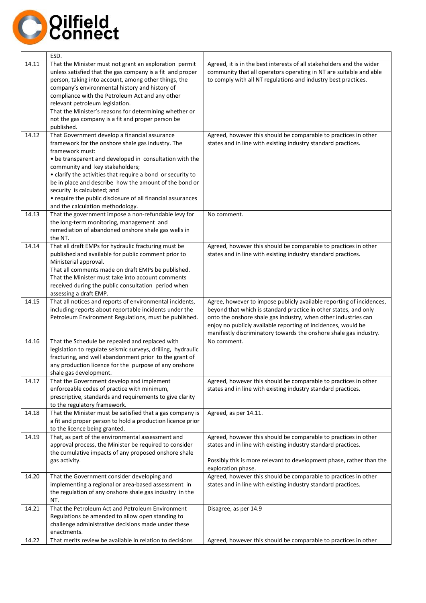

|       | ESD.                                                                                                                                                                                                                                                                                                                                                                                                                                                                           |                                                                                                                                                                                                                                                                                                                                                  |
|-------|--------------------------------------------------------------------------------------------------------------------------------------------------------------------------------------------------------------------------------------------------------------------------------------------------------------------------------------------------------------------------------------------------------------------------------------------------------------------------------|--------------------------------------------------------------------------------------------------------------------------------------------------------------------------------------------------------------------------------------------------------------------------------------------------------------------------------------------------|
| 14.11 | That the Minister must not grant an exploration permit<br>unless satisfied that the gas company is a fit and proper<br>person, taking into account, among other things, the<br>company's environmental history and history of<br>compliance with the Petroleum Act and any other<br>relevant petroleum legislation.<br>That the Minister's reasons for determining whether or<br>not the gas company is a fit and proper person be<br>published.                               | Agreed, it is in the best interests of all stakeholders and the wider<br>community that all operators operating in NT are suitable and able<br>to comply with all NT regulations and industry best practices.                                                                                                                                    |
| 14.12 | That Government develop a financial assurance<br>framework for the onshore shale gas industry. The<br>framework must:<br>• be transparent and developed in consultation with the<br>community and key stakeholders;<br>• clarify the activities that require a bond or security to<br>be in place and describe how the amount of the bond or<br>security is calculated; and<br>• require the public disclosure of all financial assurances<br>and the calculation methodology. | Agreed, however this should be comparable to practices in other<br>states and in line with existing industry standard practices.                                                                                                                                                                                                                 |
| 14.13 | That the government impose a non-refundable levy for<br>the long-term monitoring, management and<br>remediation of abandoned onshore shale gas wells in<br>the NT.                                                                                                                                                                                                                                                                                                             | No comment.                                                                                                                                                                                                                                                                                                                                      |
| 14.14 | That all draft EMPs for hydraulic fracturing must be<br>published and available for public comment prior to<br>Ministerial approval.<br>That all comments made on draft EMPs be published.<br>That the Minister must take into account comments<br>received during the public consultation period when<br>assessing a draft EMP.                                                                                                                                               | Agreed, however this should be comparable to practices in other<br>states and in line with existing industry standard practices.                                                                                                                                                                                                                 |
| 14.15 | That all notices and reports of environmental incidents,<br>including reports about reportable incidents under the<br>Petroleum Environment Regulations, must be published.                                                                                                                                                                                                                                                                                                    | Agree, however to impose publicly available reporting of incidences,<br>beyond that which is standard practice in other states, and only<br>onto the onshore shale gas industry, when other industries can<br>enjoy no publicly available reporting of incidences, would be<br>manifestly discriminatory towards the onshore shale gas industry. |
| 14.16 | That the Schedule be repealed and replaced with<br>legislation to regulate seismic surveys, drilling, hydraulic<br>fracturing, and well abandonment prior to the grant of<br>any production licence for the purpose of any onshore<br>shale gas development.                                                                                                                                                                                                                   | No comment.                                                                                                                                                                                                                                                                                                                                      |
| 14.17 | That the Government develop and implement<br>enforceable codes of practice with minimum,<br>prescriptive, standards and requirements to give clarity<br>to the regulatory framework.                                                                                                                                                                                                                                                                                           | Agreed, however this should be comparable to practices in other<br>states and in line with existing industry standard practices.                                                                                                                                                                                                                 |
| 14.18 | That the Minister must be satisfied that a gas company is<br>a fit and proper person to hold a production licence prior<br>to the licence being granted.                                                                                                                                                                                                                                                                                                                       | Agreed, as per 14.11.                                                                                                                                                                                                                                                                                                                            |
| 14.19 | That, as part of the environmental assessment and<br>approval process, the Minister be required to consider<br>the cumulative impacts of any proposed onshore shale<br>gas activity.                                                                                                                                                                                                                                                                                           | Agreed, however this should be comparable to practices in other<br>states and in line with existing industry standard practices.<br>Possibly this is more relevant to development phase, rather than the<br>exploration phase.                                                                                                                   |
| 14.20 | That the Government consider developing and<br>implementing a regional or area-based assessment in<br>the regulation of any onshore shale gas industry in the<br>NT.                                                                                                                                                                                                                                                                                                           | Agreed, however this should be comparable to practices in other<br>states and in line with existing industry standard practices.                                                                                                                                                                                                                 |
| 14.21 | That the Petroleum Act and Petroleum Environment<br>Regulations be amended to allow open standing to<br>challenge administrative decisions made under these<br>enactments.                                                                                                                                                                                                                                                                                                     | Disagree, as per 14.9                                                                                                                                                                                                                                                                                                                            |
| 14.22 | That merits review be available in relation to decisions                                                                                                                                                                                                                                                                                                                                                                                                                       | Agreed, however this should be comparable to practices in other                                                                                                                                                                                                                                                                                  |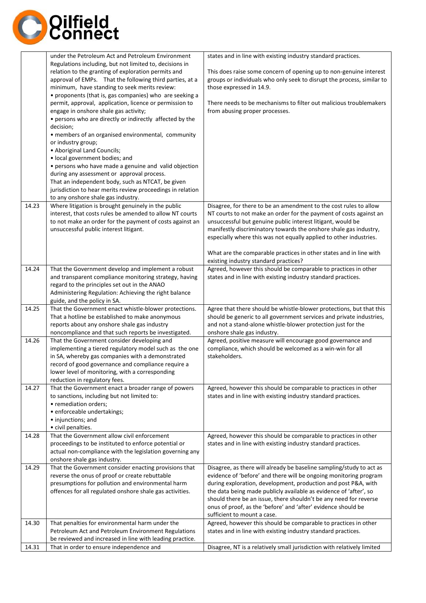

|       | under the Petroleum Act and Petroleum Environment                                                   | states and in line with existing industry standard practices.           |
|-------|-----------------------------------------------------------------------------------------------------|-------------------------------------------------------------------------|
|       | Regulations including, but not limited to, decisions in                                             |                                                                         |
|       | relation to the granting of exploration permits and                                                 | This does raise some concern of opening up to non-genuine interest      |
|       | approval of EMPs. That the following third parties, at a                                            | groups or individuals who only seek to disrupt the process, similar to  |
|       | minimum, have standing to seek merits review:                                                       | those expressed in 14.9.                                                |
|       | • proponents (that is, gas companies) who are seeking a                                             |                                                                         |
|       | permit, approval, application, licence or permission to                                             | There needs to be mechanisms to filter out malicious troublemakers      |
|       | engage in onshore shale gas activity;                                                               | from abusing proper processes.                                          |
|       | • persons who are directly or indirectly affected by the                                            |                                                                         |
|       | decision;                                                                                           |                                                                         |
|       | • members of an organised environmental, community                                                  |                                                                         |
|       | or industry group;                                                                                  |                                                                         |
|       | • Aboriginal Land Councils;                                                                         |                                                                         |
|       | • local government bodies; and                                                                      |                                                                         |
|       | • persons who have made a genuine and valid objection<br>during any assessment or approval process. |                                                                         |
|       | That an independent body, such as NTCAT, be given                                                   |                                                                         |
|       | jurisdiction to hear merits review proceedings in relation                                          |                                                                         |
|       | to any onshore shale gas industry.                                                                  |                                                                         |
| 14.23 | Where litigation is brought genuinely in the public                                                 | Disagree, for there to be an amendment to the cost rules to allow       |
|       | interest, that costs rules be amended to allow NT courts                                            | NT courts to not make an order for the payment of costs against an      |
|       | to not make an order for the payment of costs against an                                            | unsuccessful but genuine public interest litigant, would be             |
|       | unsuccessful public interest litigant.                                                              | manifestly discriminatory towards the onshore shale gas industry,       |
|       |                                                                                                     | especially where this was not equally applied to other industries.      |
|       |                                                                                                     |                                                                         |
|       |                                                                                                     | What are the comparable practices in other states and in line with      |
|       |                                                                                                     | existing industry standard practices?                                   |
| 14.24 | That the Government develop and implement a robust                                                  | Agreed, however this should be comparable to practices in other         |
|       | and transparent compliance monitoring strategy, having                                              | states and in line with existing industry standard practices.           |
|       | regard to the principles set out in the ANAO                                                        |                                                                         |
|       | Administering Regulation: Achieving the right balance                                               |                                                                         |
| 14.25 | guide, and the policy in SA.<br>That the Government enact whistle-blower protections.               | Agree that there should be whistle-blower protections, but that this    |
|       | That a hotline be established to make anonymous                                                     | should be generic to all government services and private industries,    |
|       | reports about any onshore shale gas industry                                                        | and not a stand-alone whistle-blower protection just for the            |
|       | noncompliance and that such reports be investigated.                                                | onshore shale gas industry.                                             |
| 14.26 | That the Government consider developing and                                                         | Agreed, positive measure will encourage good governance and             |
|       | implementing a tiered regulatory model such as the one                                              | compliance, which should be welcomed as a win-win for all               |
|       | in SA, whereby gas companies with a demonstrated                                                    | stakeholders.                                                           |
|       | record of good governance and compliance require a                                                  |                                                                         |
|       | lower level of monitoring, with a corresponding                                                     |                                                                         |
|       | reduction in regulatory fees.                                                                       |                                                                         |
| 14.27 | That the Government enact a broader range of powers                                                 | Agreed, however this should be comparable to practices in other         |
|       | to sanctions, including but not limited to:                                                         | states and in line with existing industry standard practices.           |
|       | • remediation orders;                                                                               |                                                                         |
|       | · enforceable undertakings;                                                                         |                                                                         |
|       | • injunctions; and                                                                                  |                                                                         |
|       | • civil penalties.                                                                                  |                                                                         |
| 14.28 | That the Government allow civil enforcement                                                         | Agreed, however this should be comparable to practices in other         |
|       | proceedings to be instituted to enforce potential or                                                | states and in line with existing industry standard practices.           |
|       | actual non-compliance with the legislation governing any<br>onshore shale gas industry.             |                                                                         |
| 14.29 | That the Government consider enacting provisions that                                               | Disagree, as there will already be baseline sampling/study to act as    |
|       | reverse the onus of proof or create rebuttable                                                      | evidence of 'before' and there will be ongoing monitoring program       |
|       | presumptions for pollution and environmental harm                                                   | during exploration, development, production and post P&A, with          |
|       | offences for all regulated onshore shale gas activities.                                            | the data being made publicly available as evidence of 'after', so       |
|       |                                                                                                     | should there be an issue, there shouldn't be any need for reverse       |
|       |                                                                                                     | onus of proof, as the 'before' and 'after' evidence should be           |
|       |                                                                                                     | sufficient to mount a case.                                             |
| 14.30 | That penalties for environmental harm under the                                                     | Agreed, however this should be comparable to practices in other         |
|       | Petroleum Act and Petroleum Environment Regulations                                                 | states and in line with existing industry standard practices.           |
|       | be reviewed and increased in line with leading practice.                                            |                                                                         |
| 14.31 | That in order to ensure independence and                                                            | Disagree, NT is a relatively small jurisdiction with relatively limited |